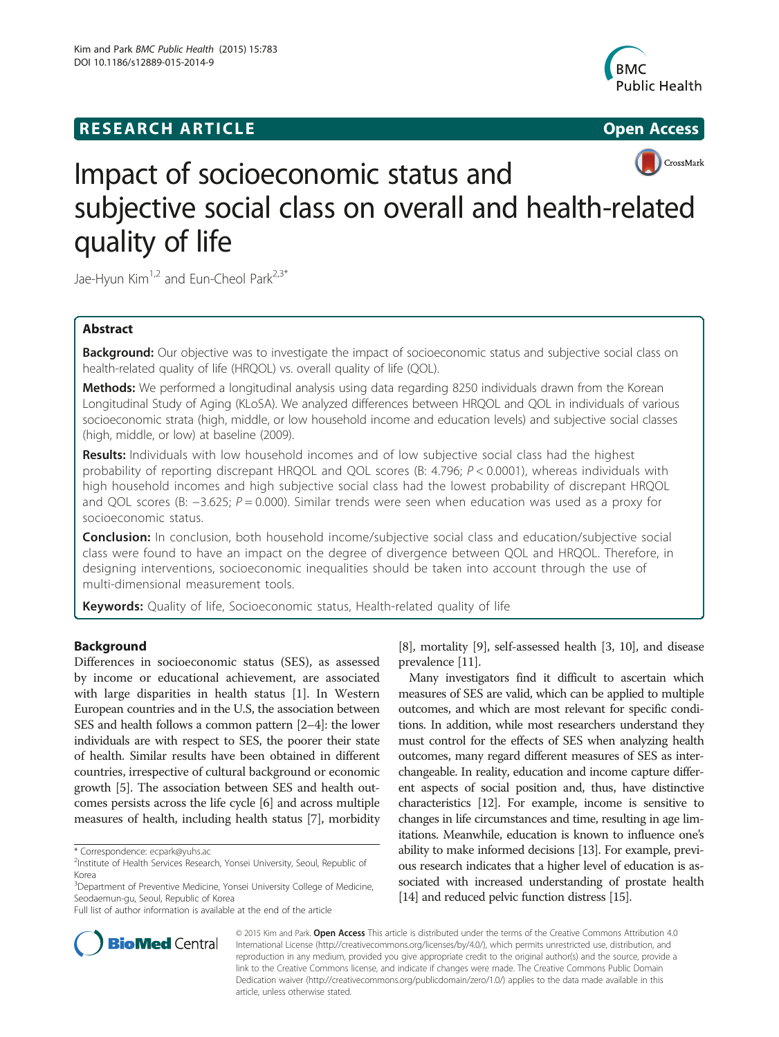# **RESEARCH ARTICLE Example 2014 12:30 The SEAR CHIPS 2014 12:30 The Open Access**



# CrossMark

# Impact of socioeconomic status and subjective social class on overall and health-related quality of life

Jae-Hyun Kim<sup>1,2</sup> and Eun-Cheol Park<sup>2,3\*</sup>

# Abstract

Background: Our objective was to investigate the impact of socioeconomic status and subjective social class on health-related quality of life (HRQOL) vs. overall quality of life (QOL).

Methods: We performed a longitudinal analysis using data regarding 8250 individuals drawn from the Korean Longitudinal Study of Aging (KLoSA). We analyzed differences between HRQOL and QOL in individuals of various socioeconomic strata (high, middle, or low household income and education levels) and subjective social classes (high, middle, or low) at baseline (2009).

Results: Individuals with low household incomes and of low subjective social class had the highest probability of reporting discrepant HRQOL and QOL scores (B: 4.796;  $P < 0.0001$ ), whereas individuals with high household incomes and high subjective social class had the lowest probability of discrepant HRQOL and QOL scores (B: −3.625; P = 0.000). Similar trends were seen when education was used as a proxy for socioeconomic status.

**Conclusion:** In conclusion, both household income/subjective social class and education/subjective social class were found to have an impact on the degree of divergence between QOL and HRQOL. Therefore, in designing interventions, socioeconomic inequalities should be taken into account through the use of multi-dimensional measurement tools.

Keywords: Quality of life, Socioeconomic status, Health-related quality of life

# Background

Differences in socioeconomic status (SES), as assessed by income or educational achievement, are associated with large disparities in health status [[1](#page-13-0)]. In Western European countries and in the U.S, the association between SES and health follows a common pattern [\[2](#page-13-0)–[4](#page-13-0)]: the lower individuals are with respect to SES, the poorer their state of health. Similar results have been obtained in different countries, irrespective of cultural background or economic growth [[5](#page-13-0)]. The association between SES and health outcomes persists across the life cycle [\[6](#page-13-0)] and across multiple measures of health, including health status [[7\]](#page-13-0), morbidity

[[8\]](#page-13-0), mortality [[9](#page-13-0)], self-assessed health [\[3, 10](#page-13-0)], and disease prevalence [\[11\]](#page-13-0).

Many investigators find it difficult to ascertain which measures of SES are valid, which can be applied to multiple outcomes, and which are most relevant for specific conditions. In addition, while most researchers understand they must control for the effects of SES when analyzing health outcomes, many regard different measures of SES as interchangeable. In reality, education and income capture different aspects of social position and, thus, have distinctive characteristics [\[12\]](#page-13-0). For example, income is sensitive to changes in life circumstances and time, resulting in age limitations. Meanwhile, education is known to influence one's ability to make informed decisions [\[13\]](#page-13-0). For example, previous research indicates that a higher level of education is associated with increased understanding of prostate health [[14](#page-13-0)] and reduced pelvic function distress [\[15](#page-13-0)].



© 2015 Kim and Park. Open Access This article is distributed under the terms of the Creative Commons Attribution 4.0 International License [\(http://creativecommons.org/licenses/by/4.0/\)](http://creativecommons.org/licenses/by/4.0/), which permits unrestricted use, distribution, and reproduction in any medium, provided you give appropriate credit to the original author(s) and the source, provide a link to the Creative Commons license, and indicate if changes were made. The Creative Commons Public Domain Dedication waiver ([http://creativecommons.org/publicdomain/zero/1.0/\)](http://creativecommons.org/publicdomain/zero/1.0/) applies to the data made available in this article, unless otherwise stated.

<sup>\*</sup> Correspondence: [ecpark@yuhs.ac](mailto:ecpark@yuhs.ac) <sup>2</sup>

<sup>&</sup>lt;sup>2</sup>Institute of Health Services Research, Yonsei University, Seoul, Republic of Korea

<sup>&</sup>lt;sup>3</sup>Department of Preventive Medicine, Yonsei University College of Medicine, Seodaemun-gu, Seoul, Republic of Korea

Full list of author information is available at the end of the article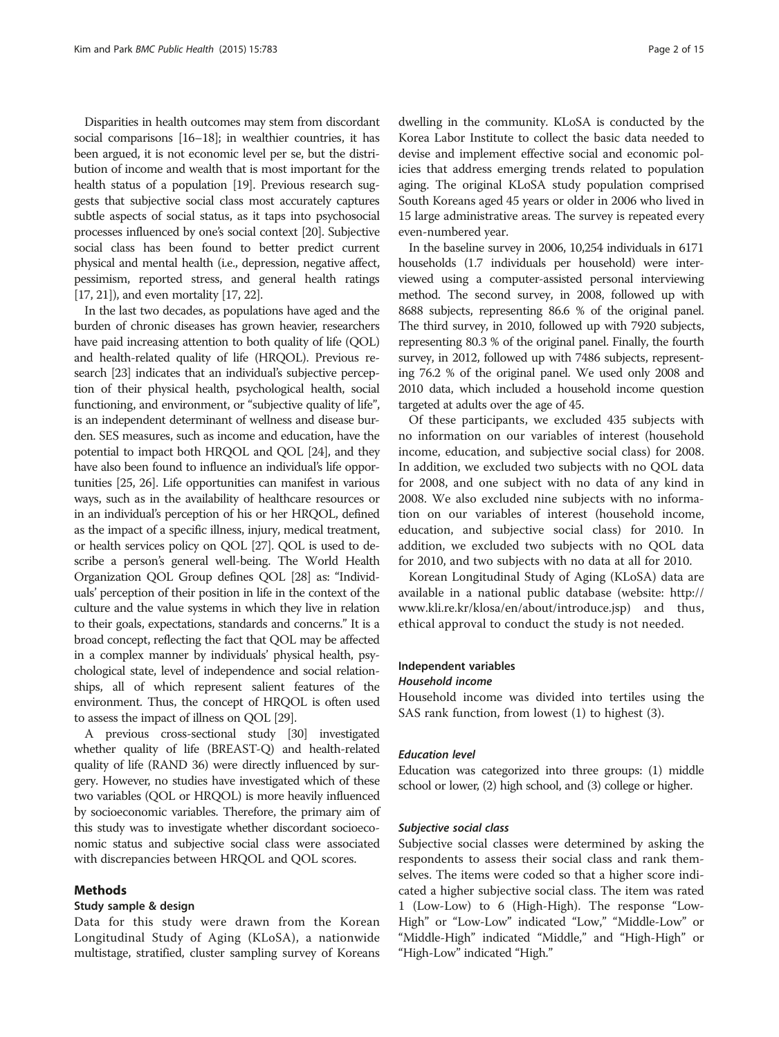Disparities in health outcomes may stem from discordant social comparisons [\[16](#page-13-0)–[18](#page-13-0)]; in wealthier countries, it has been argued, it is not economic level per se, but the distribution of income and wealth that is most important for the health status of a population [\[19](#page-13-0)]. Previous research suggests that subjective social class most accurately captures subtle aspects of social status, as it taps into psychosocial processes influenced by one's social context [[20](#page-13-0)]. Subjective social class has been found to better predict current physical and mental health (i.e., depression, negative affect, pessimism, reported stress, and general health ratings [[17](#page-13-0), [21](#page-14-0)]), and even mortality [[17](#page-13-0), [22](#page-14-0)].

In the last two decades, as populations have aged and the burden of chronic diseases has grown heavier, researchers have paid increasing attention to both quality of life (QOL) and health-related quality of life (HRQOL). Previous research [\[23](#page-14-0)] indicates that an individual's subjective perception of their physical health, psychological health, social functioning, and environment, or "subjective quality of life", is an independent determinant of wellness and disease burden. SES measures, such as income and education, have the potential to impact both HRQOL and QOL [\[24\]](#page-14-0), and they have also been found to influence an individual's life opportunities [\[25](#page-14-0), [26](#page-14-0)]. Life opportunities can manifest in various ways, such as in the availability of healthcare resources or in an individual's perception of his or her HRQOL, defined as the impact of a specific illness, injury, medical treatment, or health services policy on QOL [\[27\]](#page-14-0). QOL is used to describe a person's general well-being. The World Health Organization QOL Group defines QOL [\[28\]](#page-14-0) as: "Individuals' perception of their position in life in the context of the culture and the value systems in which they live in relation to their goals, expectations, standards and concerns." It is a broad concept, reflecting the fact that QOL may be affected in a complex manner by individuals' physical health, psychological state, level of independence and social relationships, all of which represent salient features of the environment. Thus, the concept of HRQOL is often used to assess the impact of illness on QOL [\[29\]](#page-14-0).

A previous cross-sectional study [[30](#page-14-0)] investigated whether quality of life (BREAST-Q) and health-related quality of life (RAND 36) were directly influenced by surgery. However, no studies have investigated which of these two variables (QOL or HRQOL) is more heavily influenced by socioeconomic variables. Therefore, the primary aim of this study was to investigate whether discordant socioeconomic status and subjective social class were associated with discrepancies between HRQOL and QOL scores.

## Methods

#### Study sample & design

Data for this study were drawn from the Korean Longitudinal Study of Aging (KLoSA), a nationwide multistage, stratified, cluster sampling survey of Koreans dwelling in the community. KLoSA is conducted by the Korea Labor Institute to collect the basic data needed to devise and implement effective social and economic policies that address emerging trends related to population aging. The original KLoSA study population comprised South Koreans aged 45 years or older in 2006 who lived in 15 large administrative areas. The survey is repeated every even-numbered year.

In the baseline survey in 2006, 10,254 individuals in 6171 households (1.7 individuals per household) were interviewed using a computer-assisted personal interviewing method. The second survey, in 2008, followed up with 8688 subjects, representing 86.6 % of the original panel. The third survey, in 2010, followed up with 7920 subjects, representing 80.3 % of the original panel. Finally, the fourth survey, in 2012, followed up with 7486 subjects, representing 76.2 % of the original panel. We used only 2008 and 2010 data, which included a household income question targeted at adults over the age of 45.

Of these participants, we excluded 435 subjects with no information on our variables of interest (household income, education, and subjective social class) for 2008. In addition, we excluded two subjects with no QOL data for 2008, and one subject with no data of any kind in 2008. We also excluded nine subjects with no information on our variables of interest (household income, education, and subjective social class) for 2010. In addition, we excluded two subjects with no QOL data for 2010, and two subjects with no data at all for 2010.

Korean Longitudinal Study of Aging (KLoSA) data are available in a national public database (website: [http://](http://www.kli.re.kr/klosa/en/about/introduce.jsp) [www.kli.re.kr/klosa/en/about/introduce.jsp](http://www.kli.re.kr/klosa/en/about/introduce.jsp)) and thus, ethical approval to conduct the study is not needed.

## Independent variables

# Household income

Household income was divided into tertiles using the SAS rank function, from lowest (1) to highest (3).

#### Education level

Education was categorized into three groups: (1) middle school or lower, (2) high school, and (3) college or higher.

#### Subjective social class

Subjective social classes were determined by asking the respondents to assess their social class and rank themselves. The items were coded so that a higher score indicated a higher subjective social class. The item was rated 1 (Low-Low) to 6 (High-High). The response "Low-High" or "Low-Low" indicated "Low," "Middle-Low" or "Middle-High" indicated "Middle," and "High-High" or "High-Low" indicated "High."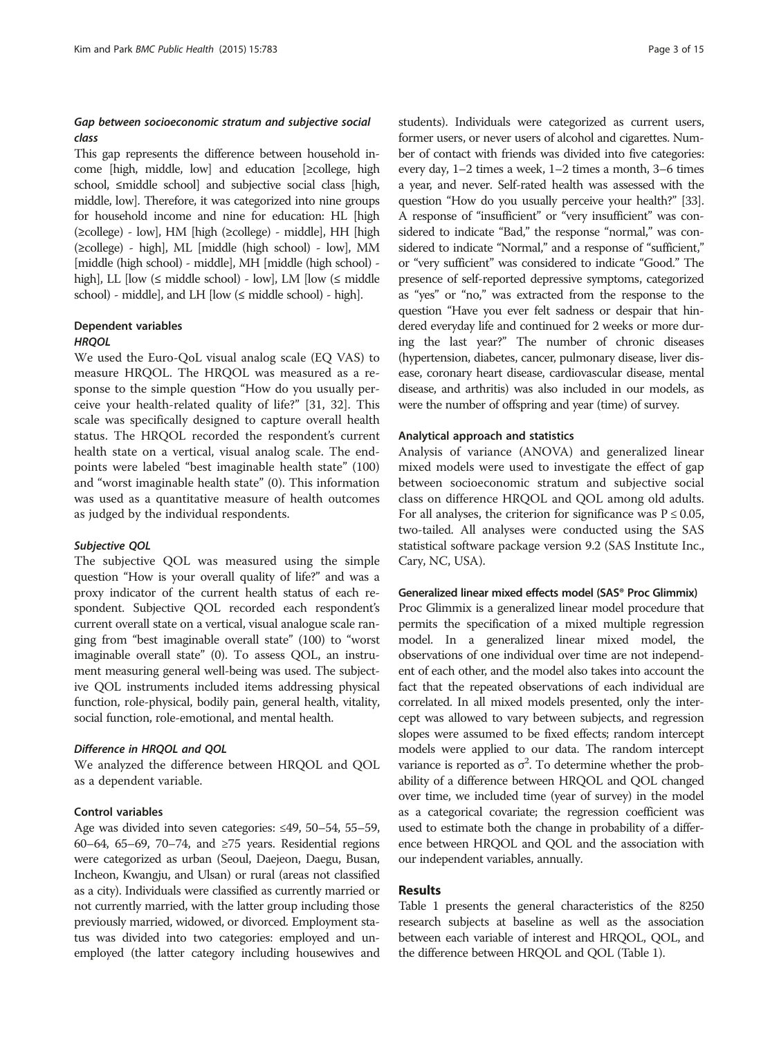# Gap between socioeconomic stratum and subjective social class

This gap represents the difference between household income [high, middle, low] and education [≥college, high school, ≤middle school] and subjective social class [high, middle, low]. Therefore, it was categorized into nine groups for household income and nine for education: HL [high (≥college) - low], HM [high (≥college) - middle], HH [high (≥college) - high], ML [middle (high school) - low], MM [middle (high school) - middle], MH [middle (high school) high], LL  $[low (\leq middle school) - low]$ , LM  $[low (\leq middle$ school) - middle], and LH [low (≤ middle school) - high].

# Dependent variables

#### **HROOL**

We used the Euro-QoL visual analog scale (EQ VAS) to measure HRQOL. The HRQOL was measured as a response to the simple question "How do you usually perceive your health-related quality of life?" [[31](#page-14-0), [32\]](#page-14-0). This scale was specifically designed to capture overall health status. The HRQOL recorded the respondent's current health state on a vertical, visual analog scale. The endpoints were labeled "best imaginable health state" (100) and "worst imaginable health state" (0). This information was used as a quantitative measure of health outcomes as judged by the individual respondents.

#### Subjective QOL

The subjective QOL was measured using the simple question "How is your overall quality of life?" and was a proxy indicator of the current health status of each respondent. Subjective QOL recorded each respondent's current overall state on a vertical, visual analogue scale ranging from "best imaginable overall state" (100) to "worst imaginable overall state" (0). To assess QOL, an instrument measuring general well-being was used. The subjective QOL instruments included items addressing physical function, role-physical, bodily pain, general health, vitality, social function, role-emotional, and mental health.

# Difference in HRQOL and QOL

We analyzed the difference between HRQOL and QOL as a dependent variable.

#### Control variables

Age was divided into seven categories: ≤49, 50–54, 55–59, 60–64, 65–69, 70–74, and ≥75 years. Residential regions were categorized as urban (Seoul, Daejeon, Daegu, Busan, Incheon, Kwangju, and Ulsan) or rural (areas not classified as a city). Individuals were classified as currently married or not currently married, with the latter group including those previously married, widowed, or divorced. Employment status was divided into two categories: employed and unemployed (the latter category including housewives and

students). Individuals were categorized as current users, former users, or never users of alcohol and cigarettes. Number of contact with friends was divided into five categories: every day, 1–2 times a week, 1–2 times a month, 3–6 times a year, and never. Self-rated health was assessed with the question "How do you usually perceive your health?" [\[33](#page-14-0)]. A response of "insufficient" or "very insufficient" was considered to indicate "Bad," the response "normal," was considered to indicate "Normal," and a response of "sufficient," or "very sufficient" was considered to indicate "Good." The presence of self-reported depressive symptoms, categorized as "yes" or "no," was extracted from the response to the question "Have you ever felt sadness or despair that hindered everyday life and continued for 2 weeks or more during the last year?" The number of chronic diseases (hypertension, diabetes, cancer, pulmonary disease, liver disease, coronary heart disease, cardiovascular disease, mental disease, and arthritis) was also included in our models, as were the number of offspring and year (time) of survey.

#### Analytical approach and statistics

Analysis of variance (ANOVA) and generalized linear mixed models were used to investigate the effect of gap between socioeconomic stratum and subjective social class on difference HRQOL and QOL among old adults. For all analyses, the criterion for significance was  $P \le 0.05$ , two-tailed. All analyses were conducted using the SAS statistical software package version 9.2 (SAS Institute Inc., Cary, NC, USA).

#### Generalized linear mixed effects model (SAS® Proc Glimmix)

Proc Glimmix is a generalized linear model procedure that permits the specification of a mixed multiple regression model. In a generalized linear mixed model, the observations of one individual over time are not independent of each other, and the model also takes into account the fact that the repeated observations of each individual are correlated. In all mixed models presented, only the intercept was allowed to vary between subjects, and regression slopes were assumed to be fixed effects; random intercept models were applied to our data. The random intercept variance is reported as  $\sigma^2$ . To determine whether the probability of a difference between HRQOL and QOL changed over time, we included time (year of survey) in the model as a categorical covariate; the regression coefficient was used to estimate both the change in probability of a difference between HRQOL and QOL and the association with our independent variables, annually.

# Results

Table [1](#page-3-0) presents the general characteristics of the 8250 research subjects at baseline as well as the association between each variable of interest and HRQOL, QOL, and the difference between HRQOL and QOL (Table [1\)](#page-3-0).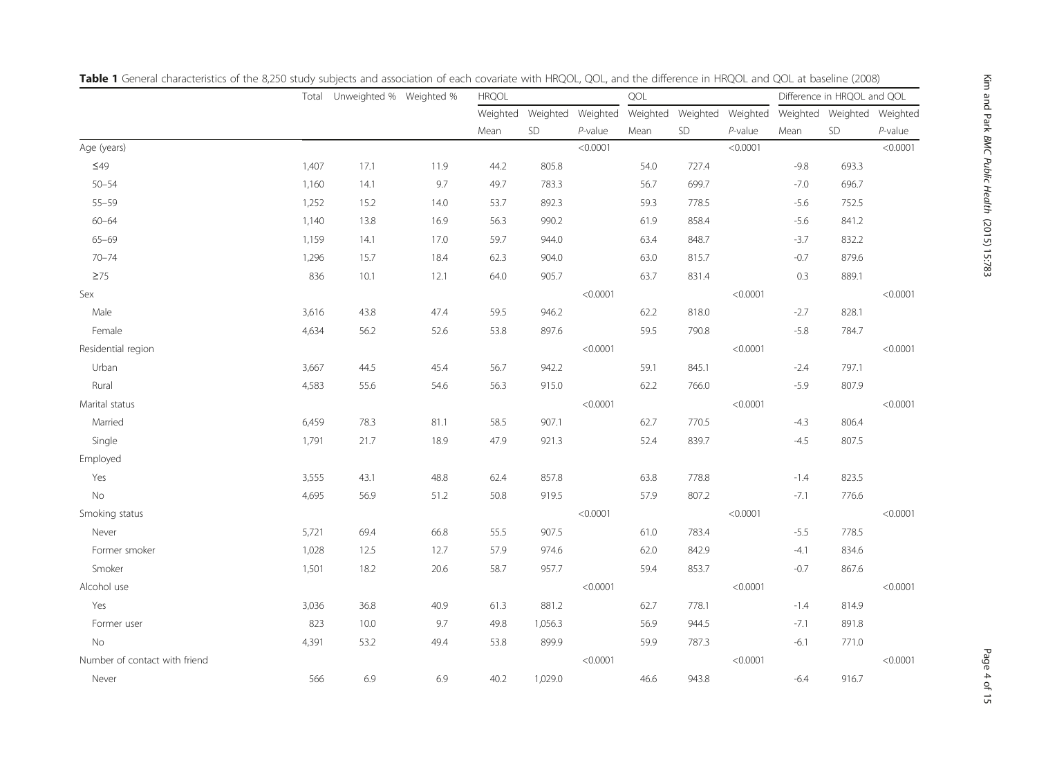|                               |       | Total Unweighted % Weighted % |      | <b>HRQOL</b> |                            |            | QOL  |                            |            |        | Difference in HRQOL and QOL |            |
|-------------------------------|-------|-------------------------------|------|--------------|----------------------------|------------|------|----------------------------|------------|--------|-----------------------------|------------|
|                               |       |                               |      |              | Weighted Weighted Weighted |            |      | Weighted Weighted Weighted |            |        | Weighted Weighted Weighted  |            |
|                               |       |                               |      | Mean         | SD                         | $P$ -value | Mean | SD                         | $P$ -value | Mean   | SD                          | $P$ -value |
| Age (years)                   |       |                               |      |              |                            | < 0.0001   |      |                            | < 0.0001   |        |                             | < 0.0001   |
| $\leq$ 49                     | 1,407 | 17.1                          | 11.9 | 44.2         | 805.8                      |            | 54.0 | 727.4                      |            | $-9.8$ | 693.3                       |            |
| $50 - 54$                     | 1,160 | 14.1                          | 9.7  | 49.7         | 783.3                      |            | 56.7 | 699.7                      |            | $-7.0$ | 696.7                       |            |
| $55 - 59$                     | 1,252 | 15.2                          | 14.0 | 53.7         | 892.3                      |            | 59.3 | 778.5                      |            | $-5.6$ | 752.5                       |            |
| $60 - 64$                     | 1,140 | 13.8                          | 16.9 | 56.3         | 990.2                      |            | 61.9 | 858.4                      |            | $-5.6$ | 841.2                       |            |
| $65 - 69$                     | 1,159 | 14.1                          | 17.0 | 59.7         | 944.0                      |            | 63.4 | 848.7                      |            | $-3.7$ | 832.2                       |            |
| $70 - 74$                     | 1,296 | 15.7                          | 18.4 | 62.3         | 904.0                      |            | 63.0 | 815.7                      |            | $-0.7$ | 879.6                       |            |
| $\geq 75$                     | 836   | 10.1                          | 12.1 | 64.0         | 905.7                      |            | 63.7 | 831.4                      |            | 0.3    | 889.1                       |            |
| Sex                           |       |                               |      |              |                            | < 0.0001   |      |                            | < 0.0001   |        |                             | < 0.0001   |
| Male                          | 3,616 | 43.8                          | 47.4 | 59.5         | 946.2                      |            | 62.2 | 818.0                      |            | $-2.7$ | 828.1                       |            |
| Female                        | 4,634 | 56.2                          | 52.6 | 53.8         | 897.6                      |            | 59.5 | 790.8                      |            | $-5.8$ | 784.7                       |            |
| Residential region            |       |                               |      |              |                            | < 0.0001   |      |                            | < 0.0001   |        |                             | < 0.0001   |
| Urban                         | 3,667 | 44.5                          | 45.4 | 56.7         | 942.2                      |            | 59.1 | 845.1                      |            | $-2.4$ | 797.1                       |            |
| Rural                         | 4,583 | 55.6                          | 54.6 | 56.3         | 915.0                      |            | 62.2 | 766.0                      |            | $-5.9$ | 807.9                       |            |
| Marital status                |       |                               |      |              |                            | < 0.0001   |      |                            | < 0.0001   |        |                             | < 0.0001   |
| Married                       | 6,459 | 78.3                          | 81.1 | 58.5         | 907.1                      |            | 62.7 | 770.5                      |            | $-4.3$ | 806.4                       |            |
| Single                        | 1,791 | 21.7                          | 18.9 | 47.9         | 921.3                      |            | 52.4 | 839.7                      |            | $-4.5$ | 807.5                       |            |
| Employed                      |       |                               |      |              |                            |            |      |                            |            |        |                             |            |
| Yes                           | 3,555 | 43.1                          | 48.8 | 62.4         | 857.8                      |            | 63.8 | 778.8                      |            | $-1.4$ | 823.5                       |            |
| $\rm No$                      | 4,695 | 56.9                          | 51.2 | 50.8         | 919.5                      |            | 57.9 | 807.2                      |            | $-7.1$ | 776.6                       |            |
| Smoking status                |       |                               |      |              |                            | < 0.0001   |      |                            | < 0.0001   |        |                             | < 0.0001   |
| Never                         | 5,721 | 69.4                          | 66.8 | 55.5         | 907.5                      |            | 61.0 | 783.4                      |            | $-5.5$ | 778.5                       |            |
| Former smoker                 | 1,028 | 12.5                          | 12.7 | 57.9         | 974.6                      |            | 62.0 | 842.9                      |            | $-4.1$ | 834.6                       |            |
| Smoker                        | 1,501 | 18.2                          | 20.6 | 58.7         | 957.7                      |            | 59.4 | 853.7                      |            | $-0.7$ | 867.6                       |            |
| Alcohol use                   |       |                               |      |              |                            | < 0.0001   |      |                            | < 0.0001   |        |                             | < 0.0001   |
| Yes                           | 3,036 | 36.8                          | 40.9 | 61.3         | 881.2                      |            | 62.7 | 778.1                      |            | $-1.4$ | 814.9                       |            |
| Former user                   | 823   | 10.0                          | 9.7  | 49.8         | 1,056.3                    |            | 56.9 | 944.5                      |            | $-7.1$ | 891.8                       |            |
| No                            | 4,391 | 53.2                          | 49.4 | 53.8         | 899.9                      |            | 59.9 | 787.3                      |            | $-6.1$ | 771.0                       |            |
| Number of contact with friend |       |                               |      |              |                            | < 0.0001   |      |                            | < 0.0001   |        |                             | < 0.0001   |
| Never                         | 566   | 6.9                           | 6.9  | 40.2         | 1,029.0                    |            | 46.6 | 943.8                      |            | $-6.4$ | 916.7                       |            |

<span id="page-3-0"></span>Table 1 General characteristics of the 8,250 study subjects and association of each covariate with HRQOL, QOL, and the difference in HRQOL and QOL at baseline (2008)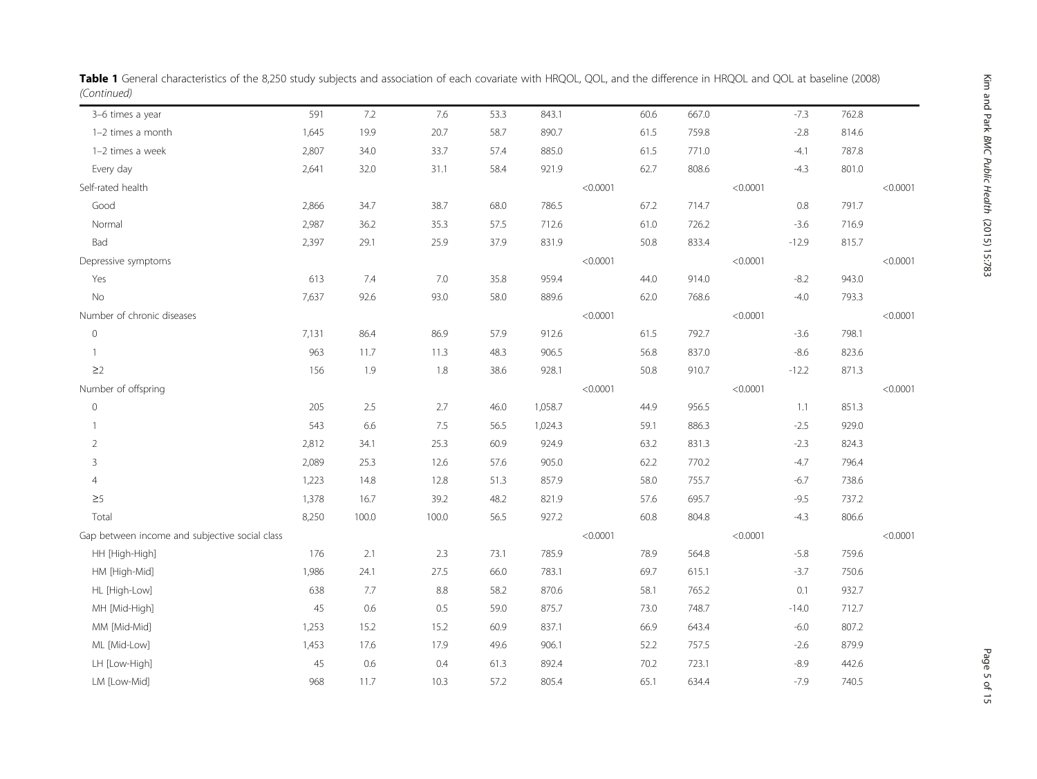| 3-6 times a year                               | 591   | 7.2     | 7.6     | 53.3 | 843.1   |          | 60.6 | 667.0 |          | $-7.3$  | 762.8 |          |
|------------------------------------------------|-------|---------|---------|------|---------|----------|------|-------|----------|---------|-------|----------|
| 1-2 times a month                              | 1,645 | 19.9    | 20.7    | 58.7 | 890.7   |          | 61.5 | 759.8 |          | $-2.8$  | 814.6 |          |
| 1-2 times a week                               | 2,807 | 34.0    | 33.7    | 57.4 | 885.0   |          | 61.5 | 771.0 |          | $-4.1$  | 787.8 |          |
| Every day                                      | 2,641 | 32.0    | 31.1    | 58.4 | 921.9   |          | 62.7 | 808.6 |          | $-4.3$  | 801.0 |          |
| Self-rated health                              |       |         |         |      |         | < 0.0001 |      |       | < 0.0001 |         |       | < 0.0001 |
| Good                                           | 2,866 | 34.7    | 38.7    | 68.0 | 786.5   |          | 67.2 | 714.7 |          | 0.8     | 791.7 |          |
| Normal                                         | 2,987 | 36.2    | 35.3    | 57.5 | 712.6   |          | 61.0 | 726.2 |          | $-3.6$  | 716.9 |          |
| Bad                                            | 2,397 | 29.1    | 25.9    | 37.9 | 831.9   |          | 50.8 | 833.4 |          | $-12.9$ | 815.7 |          |
| Depressive symptoms                            |       |         |         |      |         | < 0.0001 |      |       | < 0.0001 |         |       | < 0.0001 |
| Yes                                            | 613   | 7.4     | $7.0\,$ | 35.8 | 959.4   |          | 44.0 | 914.0 |          | $-8.2$  | 943.0 |          |
| No                                             | 7,637 | 92.6    | 93.0    | 58.0 | 889.6   |          | 62.0 | 768.6 |          | $-4.0$  | 793.3 |          |
| Number of chronic diseases                     |       |         |         |      |         | < 0.0001 |      |       | < 0.0001 |         |       | < 0.0001 |
| $\mathbb O$                                    | 7,131 | 86.4    | 86.9    | 57.9 | 912.6   |          | 61.5 | 792.7 |          | $-3.6$  | 798.1 |          |
| $\mathbf{1}$                                   | 963   | 11.7    | 11.3    | 48.3 | 906.5   |          | 56.8 | 837.0 |          | $-8.6$  | 823.6 |          |
| $\geq$ 2                                       | 156   | 1.9     | $1.8\,$ | 38.6 | 928.1   |          | 50.8 | 910.7 |          | $-12.2$ | 871.3 |          |
| Number of offspring                            |       |         |         |      |         | < 0.0001 |      |       | < 0.0001 |         |       | < 0.0001 |
| $\mathbf 0$                                    | 205   | 2.5     | 2.7     | 46.0 | 1,058.7 |          | 44.9 | 956.5 |          | 1.1     | 851.3 |          |
| 1                                              | 543   | 6.6     | 7.5     | 56.5 | 1,024.3 |          | 59.1 | 886.3 |          | $-2.5$  | 929.0 |          |
| $\overline{2}$                                 | 2,812 | 34.1    | 25.3    | 60.9 | 924.9   |          | 63.2 | 831.3 |          | $-2.3$  | 824.3 |          |
| 3                                              | 2,089 | 25.3    | 12.6    | 57.6 | 905.0   |          | 62.2 | 770.2 |          | $-4.7$  | 796.4 |          |
| $\overline{4}$                                 | 1,223 | 14.8    | 12.8    | 51.3 | 857.9   |          | 58.0 | 755.7 |          | $-6.7$  | 738.6 |          |
| $\geq 5$                                       | 1,378 | 16.7    | 39.2    | 48.2 | 821.9   |          | 57.6 | 695.7 |          | $-9.5$  | 737.2 |          |
| Total                                          | 8,250 | 100.0   | 100.0   | 56.5 | 927.2   |          | 60.8 | 804.8 |          | $-4.3$  | 806.6 |          |
| Gap between income and subjective social class |       |         |         |      |         | < 0.0001 |      |       | < 0.0001 |         |       | < 0.0001 |
| HH [High-High]                                 | 176   | 2.1     | 2.3     | 73.1 | 785.9   |          | 78.9 | 564.8 |          | $-5.8$  | 759.6 |          |
| HM [High-Mid]                                  | 1,986 | 24.1    | 27.5    | 66.0 | 783.1   |          | 69.7 | 615.1 |          | $-3.7$  | 750.6 |          |
| HL [High-Low]                                  | 638   | 7.7     | 8.8     | 58.2 | 870.6   |          | 58.1 | 765.2 |          | 0.1     | 932.7 |          |
| MH [Mid-High]                                  | 45    | $0.6\,$ | 0.5     | 59.0 | 875.7   |          | 73.0 | 748.7 |          | $-14.0$ | 712.7 |          |
| MM [Mid-Mid]                                   | 1,253 | 15.2    | 15.2    | 60.9 | 837.1   |          | 66.9 | 643.4 |          | $-6.0$  | 807.2 |          |
| ML [Mid-Low]                                   | 1,453 | 17.6    | 17.9    | 49.6 | 906.1   |          | 52.2 | 757.5 |          | $-2.6$  | 879.9 |          |
| LH [Low-High]                                  | 45    | $0.6\,$ | 0.4     | 61.3 | 892.4   |          | 70.2 | 723.1 |          | $-8.9$  | 442.6 |          |
| LM [Low-Mid]                                   | 968   | 11.7    | 10.3    | 57.2 | 805.4   |          | 65.1 | 634.4 |          | $-7.9$  | 740.5 |          |
|                                                |       |         |         |      |         |          |      |       |          |         |       |          |

Table 1 General characteristics of the 8,250 study subjects and association of each covariate with HRQOL, QOL, and the difference in HRQOL and QOL at baseline (2008) (Continued)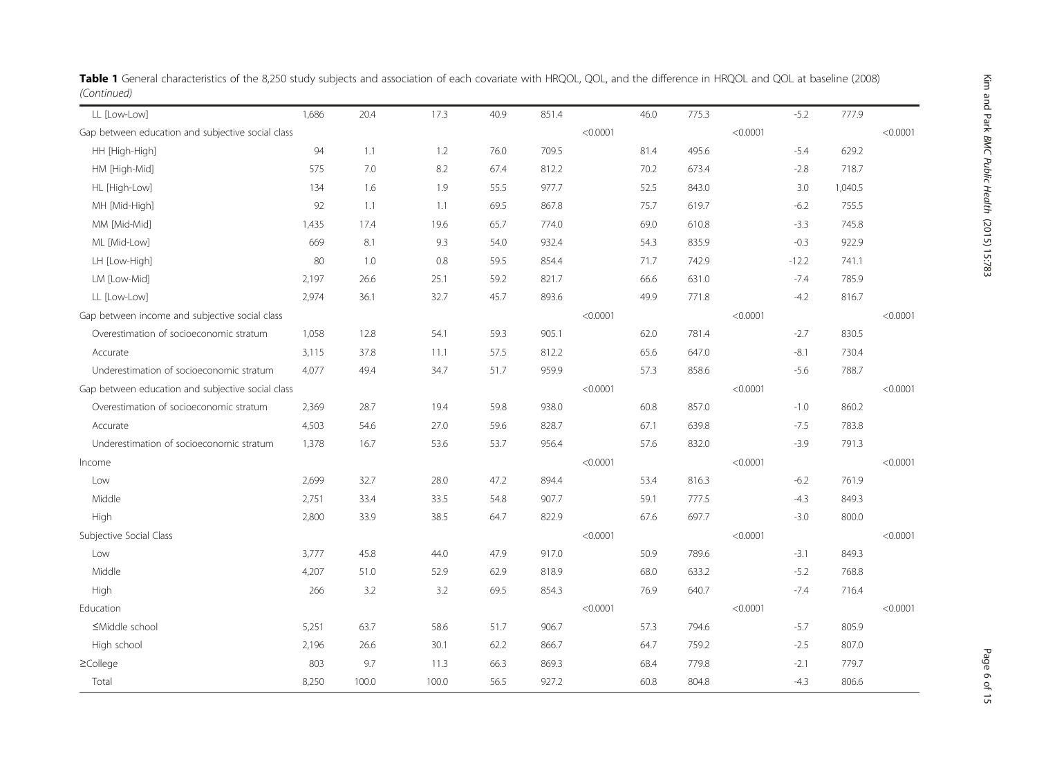| LL [Low-Low]                                      | 1,686 | 20.4  | 17.3  | 40.9 | 851.4 |          | 46.0 | 775.3 |          | $-5.2$  | 777.9   |          |
|---------------------------------------------------|-------|-------|-------|------|-------|----------|------|-------|----------|---------|---------|----------|
| Gap between education and subjective social class |       |       |       |      |       | < 0.0001 |      |       | < 0.0001 |         |         | < 0.0001 |
| HH [High-High]                                    | 94    | 1.1   | 1.2   | 76.0 | 709.5 |          | 81.4 | 495.6 |          | $-5.4$  | 629.2   |          |
| HM [High-Mid]                                     | 575   | 7.0   | 8.2   | 67.4 | 812.2 |          | 70.2 | 673.4 |          | $-2.8$  | 718.7   |          |
| HL [High-Low]                                     | 134   | 1.6   | 1.9   | 55.5 | 977.7 |          | 52.5 | 843.0 |          | 3.0     | 1,040.5 |          |
| MH [Mid-High]                                     | 92    | 1.1   | $1.1$ | 69.5 | 867.8 |          | 75.7 | 619.7 |          | $-6.2$  | 755.5   |          |
| MM [Mid-Mid]                                      | 1,435 | 17.4  | 19.6  | 65.7 | 774.0 |          | 69.0 | 610.8 |          | $-3.3$  | 745.8   |          |
| ML [Mid-Low]                                      | 669   | 8.1   | 9.3   | 54.0 | 932.4 |          | 54.3 | 835.9 |          | $-0.3$  | 922.9   |          |
| LH [Low-High]                                     | 80    | 1.0   | 0.8   | 59.5 | 854.4 |          | 71.7 | 742.9 |          | $-12.2$ | 741.1   |          |
| LM [Low-Mid]                                      | 2,197 | 26.6  | 25.1  | 59.2 | 821.7 |          | 66.6 | 631.0 |          | $-7.4$  | 785.9   |          |
| LL [Low-Low]                                      | 2,974 | 36.1  | 32.7  | 45.7 | 893.6 |          | 49.9 | 771.8 |          | $-4.2$  | 816.7   |          |
| Gap between income and subjective social class    |       |       |       |      |       | < 0.0001 |      |       | < 0.0001 |         |         | < 0.0001 |
| Overestimation of socioeconomic stratum           | 1,058 | 12.8  | 54.1  | 59.3 | 905.1 |          | 62.0 | 781.4 |          | $-2.7$  | 830.5   |          |
| Accurate                                          | 3,115 | 37.8  | 11.1  | 57.5 | 812.2 |          | 65.6 | 647.0 |          | $-8.1$  | 730.4   |          |
| Underestimation of socioeconomic stratum          | 4,077 | 49.4  | 34.7  | 51.7 | 959.9 |          | 57.3 | 858.6 |          | $-5.6$  | 788.7   |          |
| Gap between education and subjective social class |       |       |       |      |       | < 0.0001 |      |       | < 0.0001 |         |         | < 0.0001 |
| Overestimation of socioeconomic stratum           | 2,369 | 28.7  | 19.4  | 59.8 | 938.0 |          | 60.8 | 857.0 |          | $-1.0$  | 860.2   |          |
| Accurate                                          | 4,503 | 54.6  | 27.0  | 59.6 | 828.7 |          | 67.1 | 639.8 |          | $-7.5$  | 783.8   |          |
| Underestimation of socioeconomic stratum          | 1,378 | 16.7  | 53.6  | 53.7 | 956.4 |          | 57.6 | 832.0 |          | $-3.9$  | 791.3   |          |
| Income                                            |       |       |       |      |       | < 0.0001 |      |       | < 0.0001 |         |         | < 0.0001 |
| Low                                               | 2,699 | 32.7  | 28.0  | 47.2 | 894.4 |          | 53.4 | 816.3 |          | $-6.2$  | 761.9   |          |
| Middle                                            | 2,751 | 33.4  | 33.5  | 54.8 | 907.7 |          | 59.1 | 777.5 |          | $-4.3$  | 849.3   |          |
| High                                              | 2,800 | 33.9  | 38.5  | 64.7 | 822.9 |          | 67.6 | 697.7 |          | $-3.0$  | 800.0   |          |
| Subjective Social Class                           |       |       |       |      |       | < 0.0001 |      |       | < 0.0001 |         |         | < 0.0001 |
| Low                                               | 3,777 | 45.8  | 44.0  | 47.9 | 917.0 |          | 50.9 | 789.6 |          | $-3.1$  | 849.3   |          |
| Middle                                            | 4,207 | 51.0  | 52.9  | 62.9 | 818.9 |          | 68.0 | 633.2 |          | $-5.2$  | 768.8   |          |
| High                                              | 266   | 3.2   | 3.2   | 69.5 | 854.3 |          | 76.9 | 640.7 |          | $-7.4$  | 716.4   |          |
| Education                                         |       |       |       |      |       | < 0.0001 |      |       | < 0.0001 |         |         | < 0.0001 |
| ≤Middle school                                    | 5,251 | 63.7  | 58.6  | 51.7 | 906.7 |          | 57.3 | 794.6 |          | $-5.7$  | 805.9   |          |
| High school                                       | 2,196 | 26.6  | 30.1  | 62.2 | 866.7 |          | 64.7 | 759.2 |          | $-2.5$  | 807.0   |          |
| $\geq$ College                                    | 803   | 9.7   | 11.3  | 66.3 | 869.3 |          | 68.4 | 779.8 |          | $-2.1$  | 779.7   |          |
| Total                                             | 8,250 | 100.0 | 100.0 | 56.5 | 927.2 |          | 60.8 | 804.8 |          | $-4.3$  | 806.6   |          |

Table 1 General characteristics of the 8,250 study subjects and association of each covariate with HRQOL, QOL, and the difference in HRQOL and QOL at baseline (2008) (Continued)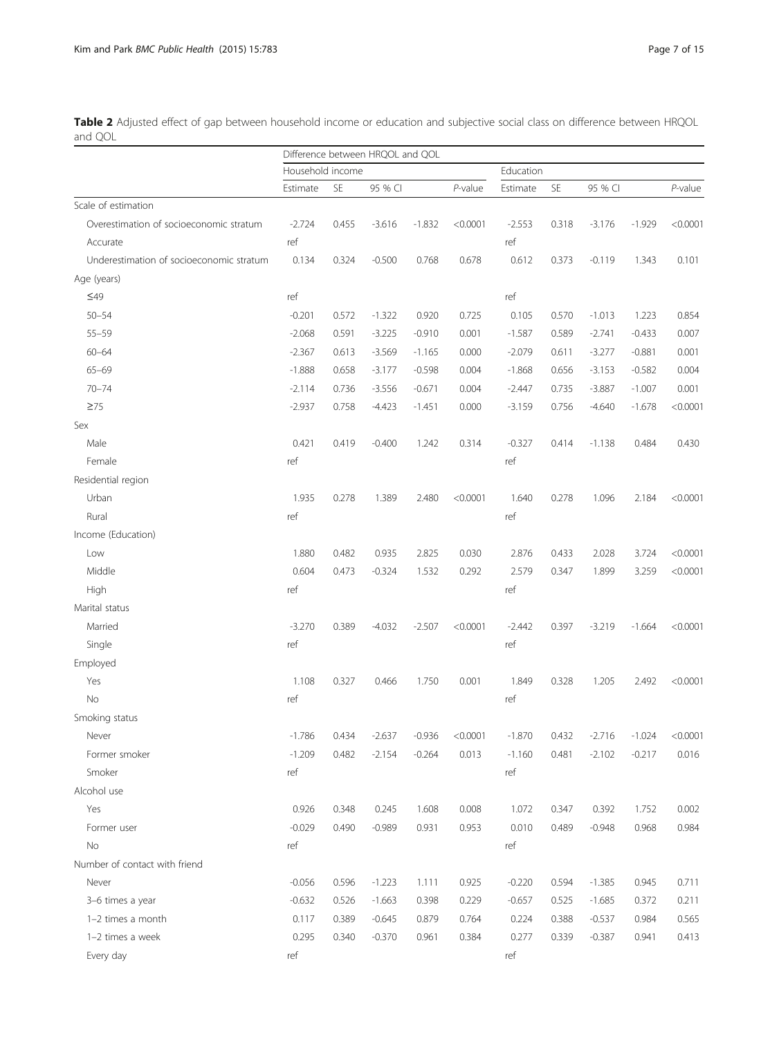<span id="page-6-0"></span>Table 2 Adjusted effect of gap between household income or education and subjective social class on difference between HRQOL and QOL

|                                          |                  |       | Difference between HRQOL and QOL |          |          |           |       |          |          |            |
|------------------------------------------|------------------|-------|----------------------------------|----------|----------|-----------|-------|----------|----------|------------|
|                                          | Household income |       |                                  |          |          | Education |       |          |          |            |
|                                          | Estimate         | SE    | 95 % CI                          |          | P-value  | Estimate  | SE    | 95 % CI  |          | $P$ -value |
| Scale of estimation                      |                  |       |                                  |          |          |           |       |          |          |            |
| Overestimation of socioeconomic stratum  | $-2.724$         | 0.455 | $-3.616$                         | $-1.832$ | < 0.0001 | $-2.553$  | 0.318 | $-3.176$ | $-1.929$ | < 0.0001   |
| Accurate                                 | ref              |       |                                  |          |          | ref       |       |          |          |            |
| Underestimation of socioeconomic stratum | 0.134            | 0.324 | $-0.500$                         | 0.768    | 0.678    | 0.612     | 0.373 | $-0.119$ | 1.343    | 0.101      |
| Age (years)                              |                  |       |                                  |          |          |           |       |          |          |            |
| $\leq 49$                                | ref              |       |                                  |          |          | ref       |       |          |          |            |
| $50 - 54$                                | $-0.201$         | 0.572 | $-1.322$                         | 0.920    | 0.725    | 0.105     | 0.570 | $-1.013$ | 1.223    | 0.854      |
| $55 - 59$                                | $-2.068$         | 0.591 | $-3.225$                         | $-0.910$ | 0.001    | $-1.587$  | 0.589 | $-2.741$ | $-0.433$ | 0.007      |
| $60 - 64$                                | $-2.367$         | 0.613 | $-3.569$                         | $-1.165$ | 0.000    | $-2.079$  | 0.611 | $-3.277$ | $-0.881$ | 0.001      |
| $65 - 69$                                | $-1.888$         | 0.658 | $-3.177$                         | $-0.598$ | 0.004    | $-1.868$  | 0.656 | $-3.153$ | $-0.582$ | 0.004      |
| $70 - 74$                                | $-2.114$         | 0.736 | $-3.556$                         | $-0.671$ | 0.004    | $-2.447$  | 0.735 | $-3.887$ | $-1.007$ | 0.001      |
| $\geq 75$                                | $-2.937$         | 0.758 | $-4.423$                         | $-1.451$ | 0.000    | $-3.159$  | 0.756 | $-4.640$ | $-1.678$ | < 0.0001   |
| Sex                                      |                  |       |                                  |          |          |           |       |          |          |            |
| Male                                     | 0.421            | 0.419 | $-0.400$                         | 1.242    | 0.314    | $-0.327$  | 0.414 | $-1.138$ | 0.484    | 0.430      |
| Female                                   | ref              |       |                                  |          |          | ref       |       |          |          |            |
| Residential region                       |                  |       |                                  |          |          |           |       |          |          |            |
| Urban                                    | 1.935            | 0.278 | 1.389                            | 2.480    | < 0.0001 | 1.640     | 0.278 | 1.096    | 2.184    | < 0.0001   |
| Rural                                    | ref              |       |                                  |          |          | ref       |       |          |          |            |
| Income (Education)                       |                  |       |                                  |          |          |           |       |          |          |            |
| Low                                      | 1.880            | 0.482 | 0.935                            | 2.825    | 0.030    | 2.876     | 0.433 | 2.028    | 3.724    | < 0.0001   |
| Middle                                   | 0.604            | 0.473 | $-0.324$                         | 1.532    | 0.292    | 2.579     | 0.347 | 1.899    | 3.259    | < 0.0001   |
| High                                     | ref              |       |                                  |          |          | ref       |       |          |          |            |
| Marital status                           |                  |       |                                  |          |          |           |       |          |          |            |
| Married                                  | $-3.270$         | 0.389 | $-4.032$                         | $-2.507$ | < 0.0001 | $-2.442$  | 0.397 | $-3.219$ | $-1.664$ | < 0.0001   |
| Single                                   | ref              |       |                                  |          |          | ref       |       |          |          |            |
| Employed                                 |                  |       |                                  |          |          |           |       |          |          |            |
| Yes                                      | 1.108            | 0.327 | 0.466                            | 1.750    | 0.001    | 1.849     | 0.328 | 1.205    | 2.492    | < 0.0001   |
| No                                       | ref              |       |                                  |          |          | ref       |       |          |          |            |
| Smoking status                           |                  |       |                                  |          |          |           |       |          |          |            |
| Never                                    | $-1.786$         | 0.434 | $-2.637$                         | $-0.936$ | < 0.0001 | $-1.870$  | 0.432 | $-2.716$ | $-1.024$ | < 0.0001   |
| Former smoker                            | $-1.209$         | 0.482 | $-2.154$                         | $-0.264$ | 0.013    | $-1.160$  | 0.481 | $-2.102$ | $-0.217$ | 0.016      |
| Smoker                                   | ref              |       |                                  |          |          | ref       |       |          |          |            |
| Alcohol use                              |                  |       |                                  |          |          |           |       |          |          |            |
| Yes                                      | 0.926            | 0.348 | 0.245                            | 1.608    | 0.008    | 1.072     | 0.347 | 0.392    | 1.752    | 0.002      |
| Former user                              | $-0.029$         | 0.490 | $-0.989$                         | 0.931    | 0.953    | 0.010     | 0.489 | $-0.948$ | 0.968    | 0.984      |
| No                                       | ref              |       |                                  |          |          | ref       |       |          |          |            |
| Number of contact with friend            |                  |       |                                  |          |          |           |       |          |          |            |
| Never                                    | $-0.056$         | 0.596 | $-1.223$                         | 1.111    | 0.925    | $-0.220$  | 0.594 | $-1.385$ | 0.945    | 0.711      |
| 3-6 times a year                         | $-0.632$         | 0.526 | $-1.663$                         | 0.398    | 0.229    | $-0.657$  | 0.525 | $-1.685$ | 0.372    | 0.211      |
| 1-2 times a month                        | 0.117            | 0.389 | $-0.645$                         | 0.879    | 0.764    | 0.224     | 0.388 | $-0.537$ | 0.984    | 0.565      |
| 1-2 times a week                         | 0.295            | 0.340 | $-0.370$                         | 0.961    | 0.384    | 0.277     | 0.339 | $-0.387$ | 0.941    | 0.413      |
| Every day                                | ref              |       |                                  |          |          | ref       |       |          |          |            |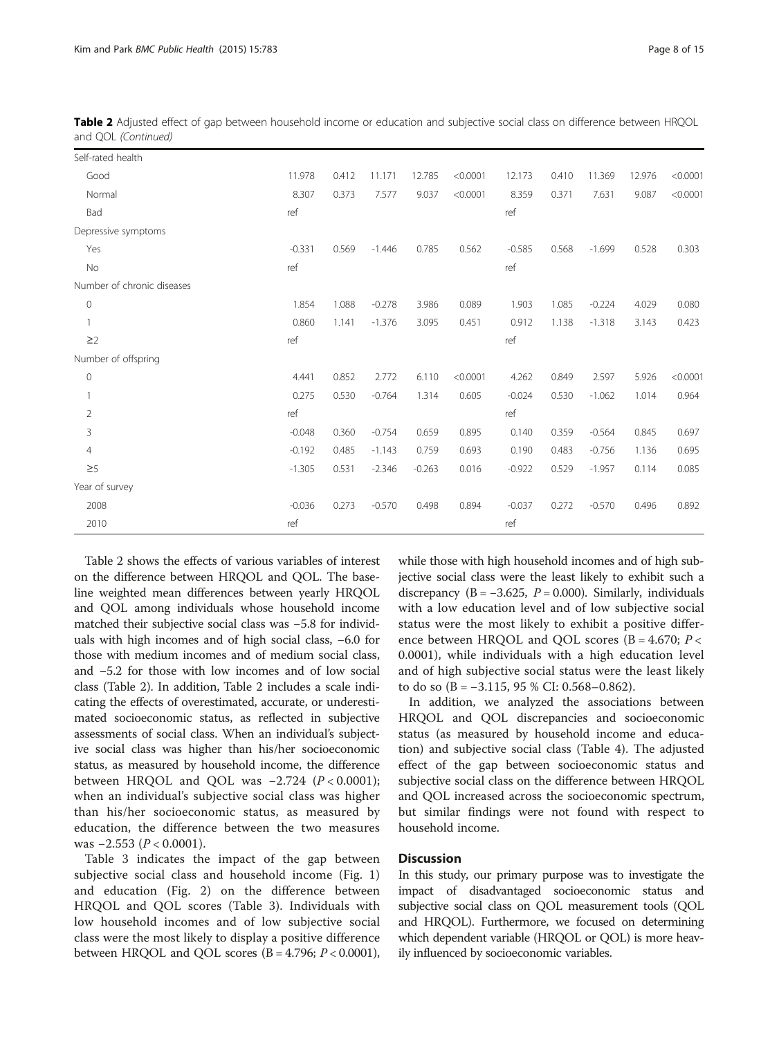| Self-rated health          |          |       |          |          |          |          |       |          |        |          |
|----------------------------|----------|-------|----------|----------|----------|----------|-------|----------|--------|----------|
| Good                       | 11.978   | 0.412 | 11.171   | 12.785   | < 0.0001 | 12.173   | 0.410 | 11.369   | 12.976 | < 0.0001 |
| Normal                     | 8.307    | 0.373 | 7.577    | 9.037    | < 0.0001 | 8.359    | 0.371 | 7.631    | 9.087  | < 0.0001 |
| Bad                        | ref      |       |          |          |          | ref      |       |          |        |          |
| Depressive symptoms        |          |       |          |          |          |          |       |          |        |          |
| Yes                        | $-0.331$ | 0.569 | $-1.446$ | 0.785    | 0.562    | $-0.585$ | 0.568 | $-1.699$ | 0.528  | 0.303    |
| No                         | ref      |       |          |          |          | ref      |       |          |        |          |
| Number of chronic diseases |          |       |          |          |          |          |       |          |        |          |
| 0                          | 1.854    | 1.088 | $-0.278$ | 3.986    | 0.089    | 1.903    | 1.085 | $-0.224$ | 4.029  | 0.080    |
|                            | 0.860    | 1.141 | $-1.376$ | 3.095    | 0.451    | 0.912    | 1.138 | $-1.318$ | 3.143  | 0.423    |
| $\geq$ 2                   | ref      |       |          |          |          | ref      |       |          |        |          |
| Number of offspring        |          |       |          |          |          |          |       |          |        |          |
| 0                          | 4.441    | 0.852 | 2.772    | 6.110    | < 0.0001 | 4.262    | 0.849 | 2.597    | 5.926  | < 0.0001 |
|                            | 0.275    | 0.530 | $-0.764$ | 1.314    | 0.605    | $-0.024$ | 0.530 | $-1.062$ | 1.014  | 0.964    |
| $\overline{2}$             | ref      |       |          |          |          | ref      |       |          |        |          |
| 3                          | $-0.048$ | 0.360 | $-0.754$ | 0.659    | 0.895    | 0.140    | 0.359 | $-0.564$ | 0.845  | 0.697    |
| $\overline{4}$             | $-0.192$ | 0.485 | $-1.143$ | 0.759    | 0.693    | 0.190    | 0.483 | $-0.756$ | 1.136  | 0.695    |
| $\geq 5$                   | $-1.305$ | 0.531 | $-2.346$ | $-0.263$ | 0.016    | $-0.922$ | 0.529 | $-1.957$ | 0.114  | 0.085    |
| Year of survey             |          |       |          |          |          |          |       |          |        |          |
| 2008                       | $-0.036$ | 0.273 | $-0.570$ | 0.498    | 0.894    | $-0.037$ | 0.272 | $-0.570$ | 0.496  | 0.892    |
| 2010                       | ref      |       |          |          |          | ref      |       |          |        |          |

Table 2 Adjusted effect of gap between household income or education and subjective social class on difference between HRQOL and QOL (Continued)

Table [2](#page-6-0) shows the effects of various variables of interest on the difference between HRQOL and QOL. The baseline weighted mean differences between yearly HRQOL and QOL among individuals whose household income matched their subjective social class was −5.8 for individuals with high incomes and of high social class, −6.0 for those with medium incomes and of medium social class, and −5.2 for those with low incomes and of low social class (Table [2](#page-6-0)). In addition, Table [2](#page-6-0) includes a scale indicating the effects of overestimated, accurate, or underestimated socioeconomic status, as reflected in subjective assessments of social class. When an individual's subjective social class was higher than his/her socioeconomic status, as measured by household income, the difference between HRQOL and QOL was  $-2.724$  ( $P < 0.0001$ ); when an individual's subjective social class was higher than his/her socioeconomic status, as measured by education, the difference between the two measures was  $-2.553$  ( $P < 0.0001$ ).

Table [3](#page-8-0) indicates the impact of the gap between subjective social class and household income (Fig. [1](#page-10-0)) and education (Fig. [2](#page-10-0)) on the difference between HRQOL and QOL scores (Table [3\)](#page-8-0). Individuals with low household incomes and of low subjective social class were the most likely to display a positive difference between HRQOL and QOL scores ( $B = 4.796$ ;  $P < 0.0001$ ),

while those with high household incomes and of high subjective social class were the least likely to exhibit such a discrepancy (B =  $-3.625$ , P = 0.000). Similarly, individuals with a low education level and of low subjective social status were the most likely to exhibit a positive difference between HRQOL and QOL scores ( $B = 4.670$ ;  $P <$ 0.0001), while individuals with a high education level and of high subjective social status were the least likely to do so  $(B = -3.115, 95 %$  CI: 0.568–0.862).

In addition, we analyzed the associations between HRQOL and QOL discrepancies and socioeconomic status (as measured by household income and education) and subjective social class (Table 4). The adjusted effect of the gap between socioeconomic status and subjective social class on the difference between HRQOL and QOL increased across the socioeconomic spectrum, but similar findings were not found with respect to household income.

# **Discussion**

In this study, our primary purpose was to investigate the impact of disadvantaged socioeconomic status and subjective social class on QOL measurement tools (QOL and HRQOL). Furthermore, we focused on determining which dependent variable (HRQOL or QOL) is more heavily influenced by socioeconomic variables.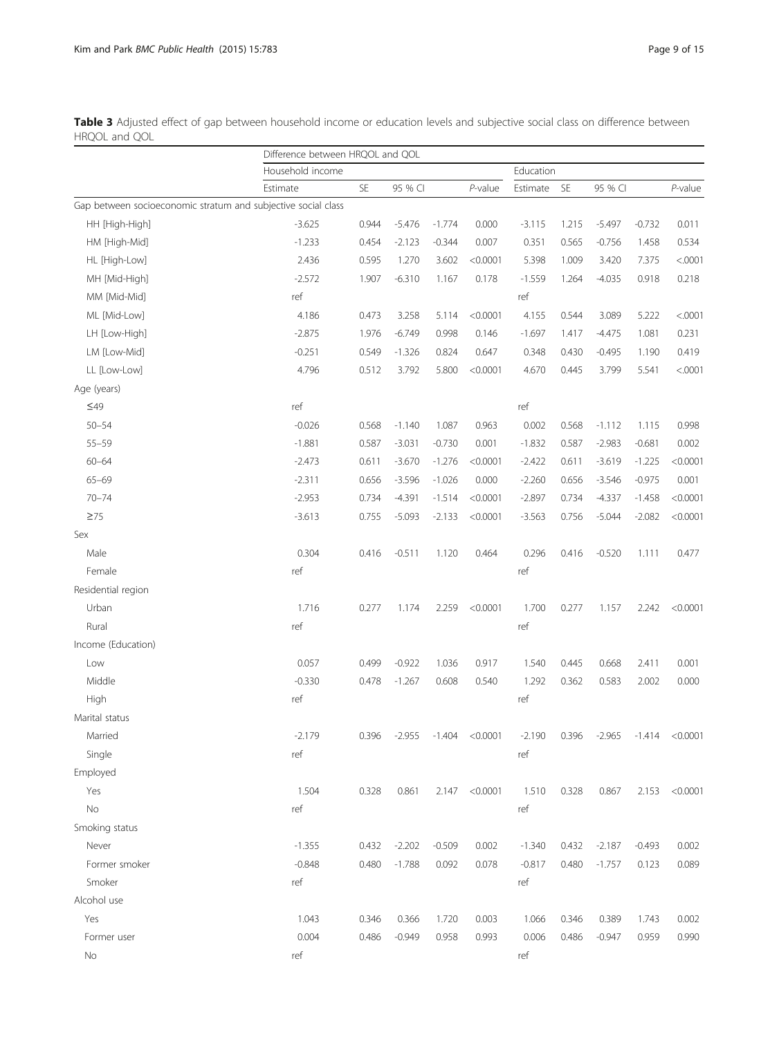<span id="page-8-0"></span>

| Table 3 Adjusted effect of gap between household income or education levels and subjective social class on difference between |  |  |  |  |  |  |
|-------------------------------------------------------------------------------------------------------------------------------|--|--|--|--|--|--|
| HRQOL and QOL                                                                                                                 |  |  |  |  |  |  |

|                                                               | Difference between HRQOL and QOL |           |          |          |            |           |           |          |          |            |
|---------------------------------------------------------------|----------------------------------|-----------|----------|----------|------------|-----------|-----------|----------|----------|------------|
|                                                               | Household income                 |           |          |          |            | Education |           |          |          |            |
|                                                               | Estimate                         | <b>SE</b> | 95 % CI  |          | $P$ -value | Estimate  | <b>SE</b> | 95 % CI  |          | $P$ -value |
| Gap between socioeconomic stratum and subjective social class |                                  |           |          |          |            |           |           |          |          |            |
| HH [High-High]                                                | $-3.625$                         | 0.944     | $-5.476$ | $-1.774$ | 0.000      | $-3.115$  | 1.215     | $-5.497$ | $-0.732$ | 0.011      |
| HM [High-Mid]                                                 | $-1.233$                         | 0.454     | $-2.123$ | $-0.344$ | 0.007      | 0.351     | 0.565     | $-0.756$ | 1.458    | 0.534      |
| HL [High-Low]                                                 | 2.436                            | 0.595     | 1.270    | 3.602    | < 0.0001   | 5.398     | 1.009     | 3.420    | 7.375    | < .0001    |
| MH [Mid-High]                                                 | $-2.572$                         | 1.907     | $-6.310$ | 1.167    | 0.178      | $-1.559$  | 1.264     | $-4.035$ | 0.918    | 0.218      |
| MM [Mid-Mid]                                                  | ref                              |           |          |          |            | ref       |           |          |          |            |
| ML [Mid-Low]                                                  | 4.186                            | 0.473     | 3.258    | 5.114    | < 0.0001   | 4.155     | 0.544     | 3.089    | 5.222    | < .0001    |
| LH [Low-High]                                                 | $-2.875$                         | 1.976     | $-6.749$ | 0.998    | 0.146      | $-1.697$  | 1.417     | $-4.475$ | 1.081    | 0.231      |
| LM [Low-Mid]                                                  | $-0.251$                         | 0.549     | $-1.326$ | 0.824    | 0.647      | 0.348     | 0.430     | $-0.495$ | 1.190    | 0.419      |
| LL [Low-Low]                                                  | 4.796                            | 0.512     | 3.792    | 5.800    | < 0.0001   | 4.670     | 0.445     | 3.799    | 5.541    | < .0001    |
| Age (years)                                                   |                                  |           |          |          |            |           |           |          |          |            |
| $\leq 49$                                                     | ref                              |           |          |          |            | ref       |           |          |          |            |
| $50 - 54$                                                     | $-0.026$                         | 0.568     | $-1.140$ | 1.087    | 0.963      | 0.002     | 0.568     | $-1.112$ | 1.115    | 0.998      |
| $55 - 59$                                                     | $-1.881$                         | 0.587     | $-3.031$ | $-0.730$ | 0.001      | $-1.832$  | 0.587     | $-2.983$ | $-0.681$ | 0.002      |
| $60 - 64$                                                     | $-2.473$                         | 0.611     | $-3.670$ | $-1.276$ | < 0.0001   | $-2.422$  | 0.611     | $-3.619$ | $-1.225$ | < 0.0001   |
| $65 - 69$                                                     | $-2.311$                         | 0.656     | $-3.596$ | $-1.026$ | 0.000      | $-2.260$  | 0.656     | $-3.546$ | $-0.975$ | 0.001      |
| $70 - 74$                                                     | $-2.953$                         | 0.734     | $-4.391$ | $-1.514$ | < 0.0001   | $-2.897$  | 0.734     | $-4.337$ | $-1.458$ | < 0.0001   |
| $\geq 75$                                                     | $-3.613$                         | 0.755     | $-5.093$ | $-2.133$ | < 0.0001   | $-3.563$  | 0.756     | $-5.044$ | $-2.082$ | < 0.0001   |
| Sex                                                           |                                  |           |          |          |            |           |           |          |          |            |
| Male                                                          | 0.304                            | 0.416     | $-0.511$ | 1.120    | 0.464      | 0.296     | 0.416     | $-0.520$ | 1.111    | 0.477      |
| Female                                                        | ref                              |           |          |          |            | ref       |           |          |          |            |
| Residential region                                            |                                  |           |          |          |            |           |           |          |          |            |
| Urban                                                         | 1.716                            | 0.277     | 1.174    | 2.259    | < 0.0001   | 1.700     | 0.277     | 1.157    | 2.242    | < 0.0001   |
| Rural                                                         | ref                              |           |          |          |            | ref       |           |          |          |            |
| Income (Education)                                            |                                  |           |          |          |            |           |           |          |          |            |
| Low                                                           | 0.057                            | 0.499     | $-0.922$ | 1.036    | 0.917      | 1.540     | 0.445     | 0.668    | 2.411    | 0.001      |
| Middle                                                        | $-0.330$                         | 0.478     | $-1.267$ | 0.608    | 0.540      | 1.292     | 0.362     | 0.583    | 2.002    | 0.000      |
| High                                                          | ref                              |           |          |          |            | ref       |           |          |          |            |
| Marital status                                                |                                  |           |          |          |            |           |           |          |          |            |
| Married                                                       | -2.179                           | 0.396     | -2.955   | -1.404   | < 0.0001   | $-2.190$  | 0.396     | -2.965   | $-1.414$ | < 0.0001   |
| Single                                                        | ref                              |           |          |          |            | ref       |           |          |          |            |
| Employed                                                      |                                  |           |          |          |            |           |           |          |          |            |
| Yes                                                           | 1.504                            | 0.328     | 0.861    | 2.147    | < 0.0001   | 1.510     | 0.328     | 0.867    | 2.153    | < 0.0001   |
| <b>No</b>                                                     | ref                              |           |          |          |            | ref       |           |          |          |            |
| Smoking status                                                |                                  |           |          |          |            |           |           |          |          |            |
| Never                                                         | $-1.355$                         | 0.432     | $-2.202$ | $-0.509$ | 0.002      | $-1.340$  | 0.432     | $-2.187$ | $-0.493$ | 0.002      |
| Former smoker                                                 | $-0.848$                         | 0.480     | $-1.788$ | 0.092    | 0.078      | $-0.817$  | 0.480     | $-1.757$ | 0.123    | 0.089      |
| Smoker                                                        | ref                              |           |          |          |            | ref       |           |          |          |            |
| Alcohol use                                                   |                                  |           |          |          |            |           |           |          |          |            |
| Yes                                                           | 1.043                            | 0.346     | 0.366    | 1.720    | 0.003      | 1.066     | 0.346     | 0.389    | 1.743    | 0.002      |
| Former user                                                   | 0.004                            | 0.486     | $-0.949$ | 0.958    | 0.993      | 0.006     | 0.486     | $-0.947$ | 0.959    | 0.990      |
| No                                                            | ref                              |           |          |          |            | ref       |           |          |          |            |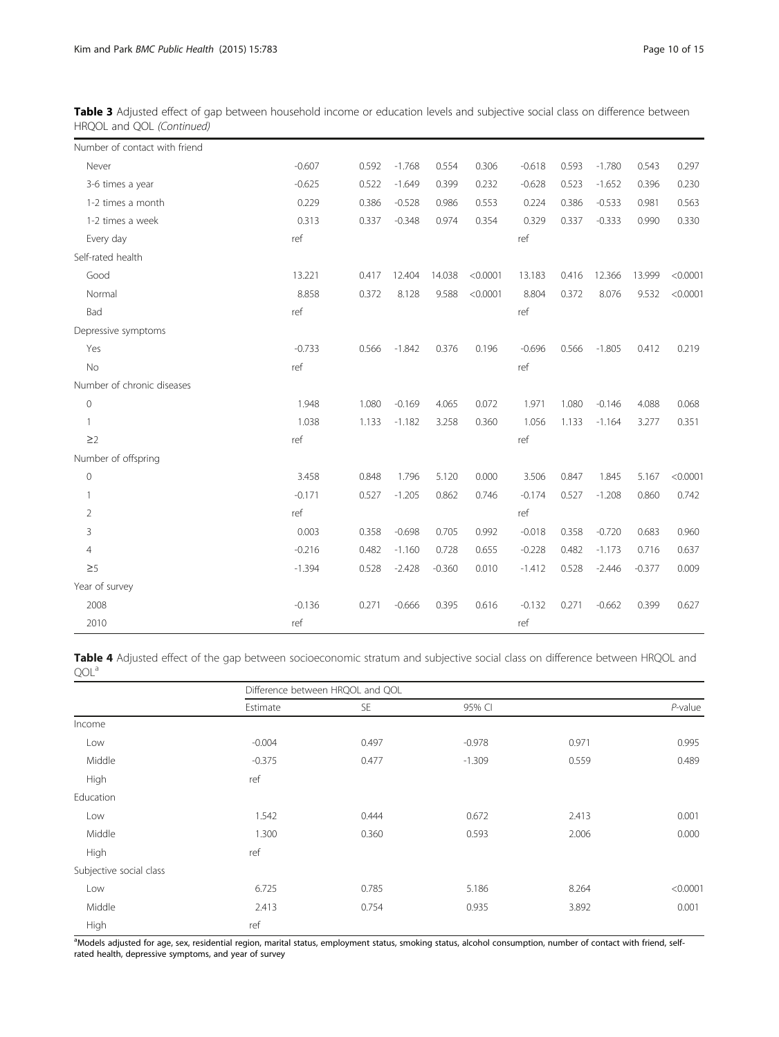Table 3 Adjusted effect of gap between household income or education levels and subjective social class on difference between HRQOL and QOL (Continued)

| Number of contact with friend |          |       |          |          |          |          |       |          |          |          |
|-------------------------------|----------|-------|----------|----------|----------|----------|-------|----------|----------|----------|
| Never                         | $-0.607$ | 0.592 | $-1.768$ | 0.554    | 0.306    | $-0.618$ | 0.593 | $-1.780$ | 0.543    | 0.297    |
| 3-6 times a year              | $-0.625$ | 0.522 | $-1.649$ | 0.399    | 0.232    | $-0.628$ | 0.523 | $-1.652$ | 0.396    | 0.230    |
| 1-2 times a month             | 0.229    | 0.386 | $-0.528$ | 0.986    | 0.553    | 0.224    | 0.386 | $-0.533$ | 0.981    | 0.563    |
| 1-2 times a week              | 0.313    | 0.337 | $-0.348$ | 0.974    | 0.354    | 0.329    | 0.337 | $-0.333$ | 0.990    | 0.330    |
| Every day                     | ref      |       |          |          |          | ref      |       |          |          |          |
| Self-rated health             |          |       |          |          |          |          |       |          |          |          |
| Good                          | 13.221   | 0.417 | 12.404   | 14.038   | < 0.0001 | 13.183   | 0.416 | 12.366   | 13.999   | < 0.0001 |
| Normal                        | 8.858    | 0.372 | 8.128    | 9.588    | < 0.0001 | 8.804    | 0.372 | 8.076    | 9.532    | < 0.0001 |
| Bad                           | ref      |       |          |          |          | ref      |       |          |          |          |
| Depressive symptoms           |          |       |          |          |          |          |       |          |          |          |
| Yes                           | $-0.733$ | 0.566 | $-1.842$ | 0.376    | 0.196    | $-0.696$ | 0.566 | $-1.805$ | 0.412    | 0.219    |
| No                            | ref      |       |          |          |          | ref      |       |          |          |          |
| Number of chronic diseases    |          |       |          |          |          |          |       |          |          |          |
| 0                             | 1.948    | 1.080 | $-0.169$ | 4.065    | 0.072    | 1.971    | 1.080 | $-0.146$ | 4.088    | 0.068    |
| $\mathbf{1}$                  | 1.038    | 1.133 | $-1.182$ | 3.258    | 0.360    | 1.056    | 1.133 | $-1.164$ | 3.277    | 0.351    |
| $\geq$ 2                      | ref      |       |          |          |          | ref      |       |          |          |          |
| Number of offspring           |          |       |          |          |          |          |       |          |          |          |
| $\mathbf 0$                   | 3.458    | 0.848 | 1.796    | 5.120    | 0.000    | 3.506    | 0.847 | 1.845    | 5.167    | < 0.0001 |
| $\mathbf{1}$                  | $-0.171$ | 0.527 | $-1.205$ | 0.862    | 0.746    | $-0.174$ | 0.527 | $-1.208$ | 0.860    | 0.742    |
| $\overline{2}$                | ref      |       |          |          |          | ref      |       |          |          |          |
| 3                             | 0.003    | 0.358 | $-0.698$ | 0.705    | 0.992    | $-0.018$ | 0.358 | $-0.720$ | 0.683    | 0.960    |
| $\overline{4}$                | $-0.216$ | 0.482 | $-1.160$ | 0.728    | 0.655    | $-0.228$ | 0.482 | $-1.173$ | 0.716    | 0.637    |
| $\geq 5$                      | $-1.394$ | 0.528 | $-2.428$ | $-0.360$ | 0.010    | $-1.412$ | 0.528 | $-2.446$ | $-0.377$ | 0.009    |
| Year of survey                |          |       |          |          |          |          |       |          |          |          |
| 2008                          | $-0.136$ | 0.271 | $-0.666$ | 0.395    | 0.616    | $-0.132$ | 0.271 | $-0.662$ | 0.399    | 0.627    |
| 2010                          | ref      |       |          |          |          | ref      |       |          |          |          |

Table 4 Adjusted effect of the gap between socioeconomic stratum and subjective social class on difference between HRQOL and QOL<sup>a</sup>

|                         |          | Difference between HRQOL and QOL |          |       |            |
|-------------------------|----------|----------------------------------|----------|-------|------------|
|                         | Estimate | <b>SE</b>                        | 95% CI   |       | $P$ -value |
| Income                  |          |                                  |          |       |            |
| Low                     | $-0.004$ | 0.497                            | $-0.978$ | 0.971 | 0.995      |
| Middle                  | $-0.375$ | 0.477                            | $-1.309$ | 0.559 | 0.489      |
| High                    | ref      |                                  |          |       |            |
| Education               |          |                                  |          |       |            |
| Low                     | 1.542    | 0.444                            | 0.672    | 2.413 | 0.001      |
| Middle                  | 1.300    | 0.360                            | 0.593    | 2.006 | 0.000      |
| High                    | ref      |                                  |          |       |            |
| Subjective social class |          |                                  |          |       |            |
| Low                     | 6.725    | 0.785                            | 5.186    | 8.264 | < 0.0001   |
| Middle                  | 2.413    | 0.754                            | 0.935    | 3.892 | 0.001      |
| High                    | ref      |                                  |          |       |            |

a<br>Models adjusted for age, sex, residential region, marital status, employment status, smoking status, alcohol consumption, number of contact with friend, selfrated health, depressive symptoms, and year of survey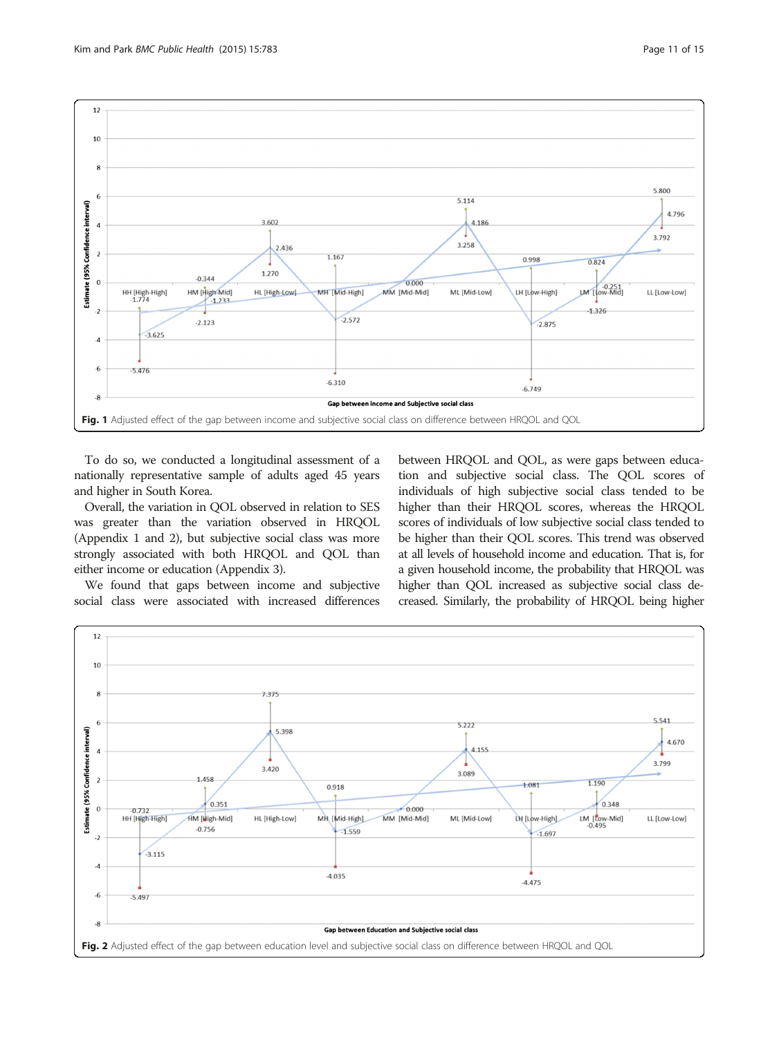<span id="page-10-0"></span>

To do so, we conducted a longitudinal assessment of a nationally representative sample of adults aged 45 years and higher in South Korea.

Overall, the variation in QOL observed in relation to SES was greater than the variation observed in HRQOL (Appendix [1](#page-12-0) and [2](#page-12-0)), but subjective social class was more strongly associated with both HRQOL and QOL than either income or education (Appendix [3\)](#page-13-0).

We found that gaps between income and subjective social class were associated with increased differences

between HRQOL and QOL, as were gaps between education and subjective social class. The QOL scores of individuals of high subjective social class tended to be higher than their HRQOL scores, whereas the HRQOL scores of individuals of low subjective social class tended to be higher than their QOL scores. This trend was observed at all levels of household income and education. That is, for a given household income, the probability that HRQOL was higher than QOL increased as subjective social class decreased. Similarly, the probability of HRQOL being higher

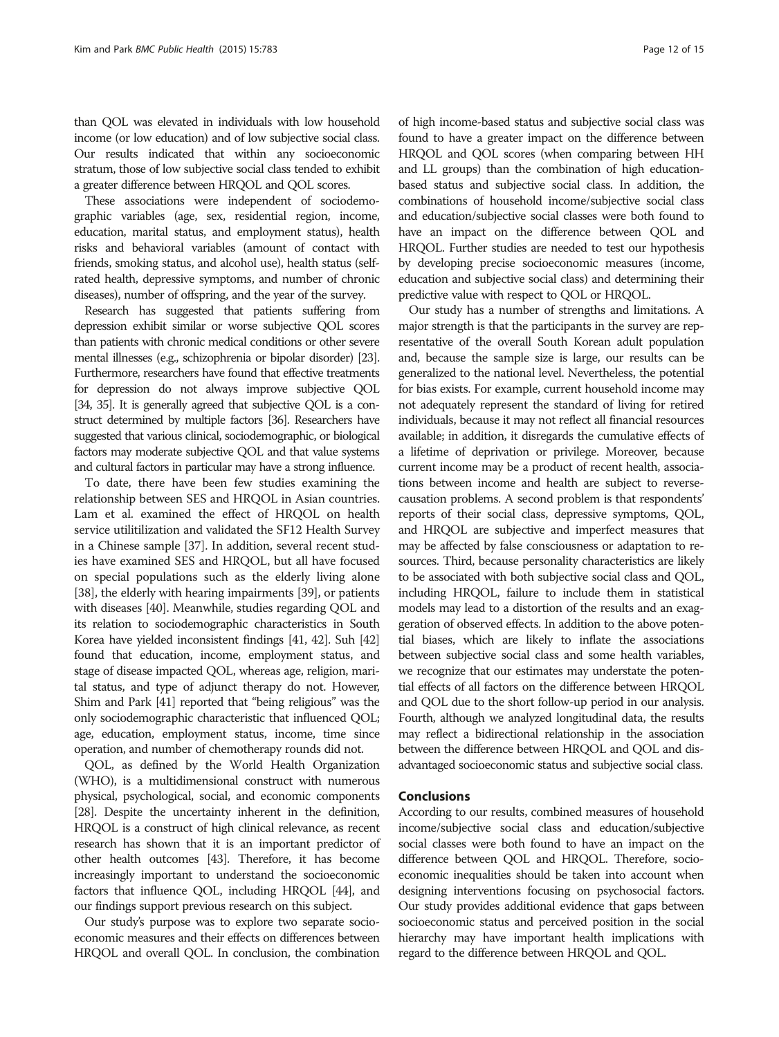than QOL was elevated in individuals with low household income (or low education) and of low subjective social class. Our results indicated that within any socioeconomic stratum, those of low subjective social class tended to exhibit a greater difference between HRQOL and QOL scores.

These associations were independent of sociodemographic variables (age, sex, residential region, income, education, marital status, and employment status), health risks and behavioral variables (amount of contact with friends, smoking status, and alcohol use), health status (selfrated health, depressive symptoms, and number of chronic diseases), number of offspring, and the year of the survey.

Research has suggested that patients suffering from depression exhibit similar or worse subjective QOL scores than patients with chronic medical conditions or other severe mental illnesses (e.g., schizophrenia or bipolar disorder) [\[23\]](#page-14-0). Furthermore, researchers have found that effective treatments for depression do not always improve subjective QOL [\[34, 35](#page-14-0)]. It is generally agreed that subjective QOL is a construct determined by multiple factors [\[36\]](#page-14-0). Researchers have suggested that various clinical, sociodemographic, or biological factors may moderate subjective QOL and that value systems and cultural factors in particular may have a strong influence.

To date, there have been few studies examining the relationship between SES and HRQOL in Asian countries. Lam et al. examined the effect of HRQOL on health service utilitilization and validated the SF12 Health Survey in a Chinese sample [\[37\]](#page-14-0). In addition, several recent studies have examined SES and HRQOL, but all have focused on special populations such as the elderly living alone [[38](#page-14-0)], the elderly with hearing impairments [\[39](#page-14-0)], or patients with diseases [[40](#page-14-0)]. Meanwhile, studies regarding QOL and its relation to sociodemographic characteristics in South Korea have yielded inconsistent findings [[41, 42\]](#page-14-0). Suh [\[42](#page-14-0)] found that education, income, employment status, and stage of disease impacted QOL, whereas age, religion, marital status, and type of adjunct therapy do not. However, Shim and Park [\[41](#page-14-0)] reported that "being religious" was the only sociodemographic characteristic that influenced QOL; age, education, employment status, income, time since operation, and number of chemotherapy rounds did not.

QOL, as defined by the World Health Organization (WHO), is a multidimensional construct with numerous physical, psychological, social, and economic components [[28](#page-14-0)]. Despite the uncertainty inherent in the definition, HRQOL is a construct of high clinical relevance, as recent research has shown that it is an important predictor of other health outcomes [\[43\]](#page-14-0). Therefore, it has become increasingly important to understand the socioeconomic factors that influence QOL, including HRQOL [\[44](#page-14-0)], and our findings support previous research on this subject.

Our study's purpose was to explore two separate socioeconomic measures and their effects on differences between HRQOL and overall QOL. In conclusion, the combination

of high income-based status and subjective social class was found to have a greater impact on the difference between HRQOL and QOL scores (when comparing between HH and LL groups) than the combination of high educationbased status and subjective social class. In addition, the combinations of household income/subjective social class and education/subjective social classes were both found to have an impact on the difference between QOL and HRQOL. Further studies are needed to test our hypothesis by developing precise socioeconomic measures (income, education and subjective social class) and determining their predictive value with respect to QOL or HRQOL.

Our study has a number of strengths and limitations. A major strength is that the participants in the survey are representative of the overall South Korean adult population and, because the sample size is large, our results can be generalized to the national level. Nevertheless, the potential for bias exists. For example, current household income may not adequately represent the standard of living for retired individuals, because it may not reflect all financial resources available; in addition, it disregards the cumulative effects of a lifetime of deprivation or privilege. Moreover, because current income may be a product of recent health, associations between income and health are subject to reversecausation problems. A second problem is that respondents' reports of their social class, depressive symptoms, QOL, and HRQOL are subjective and imperfect measures that may be affected by false consciousness or adaptation to resources. Third, because personality characteristics are likely to be associated with both subjective social class and QOL, including HRQOL, failure to include them in statistical models may lead to a distortion of the results and an exaggeration of observed effects. In addition to the above potential biases, which are likely to inflate the associations between subjective social class and some health variables, we recognize that our estimates may understate the potential effects of all factors on the difference between HRQOL and QOL due to the short follow-up period in our analysis. Fourth, although we analyzed longitudinal data, the results may reflect a bidirectional relationship in the association between the difference between HRQOL and QOL and disadvantaged socioeconomic status and subjective social class.

#### Conclusions

According to our results, combined measures of household income/subjective social class and education/subjective social classes were both found to have an impact on the difference between QOL and HRQOL. Therefore, socioeconomic inequalities should be taken into account when designing interventions focusing on psychosocial factors. Our study provides additional evidence that gaps between socioeconomic status and perceived position in the social hierarchy may have important health implications with regard to the difference between HRQOL and QOL.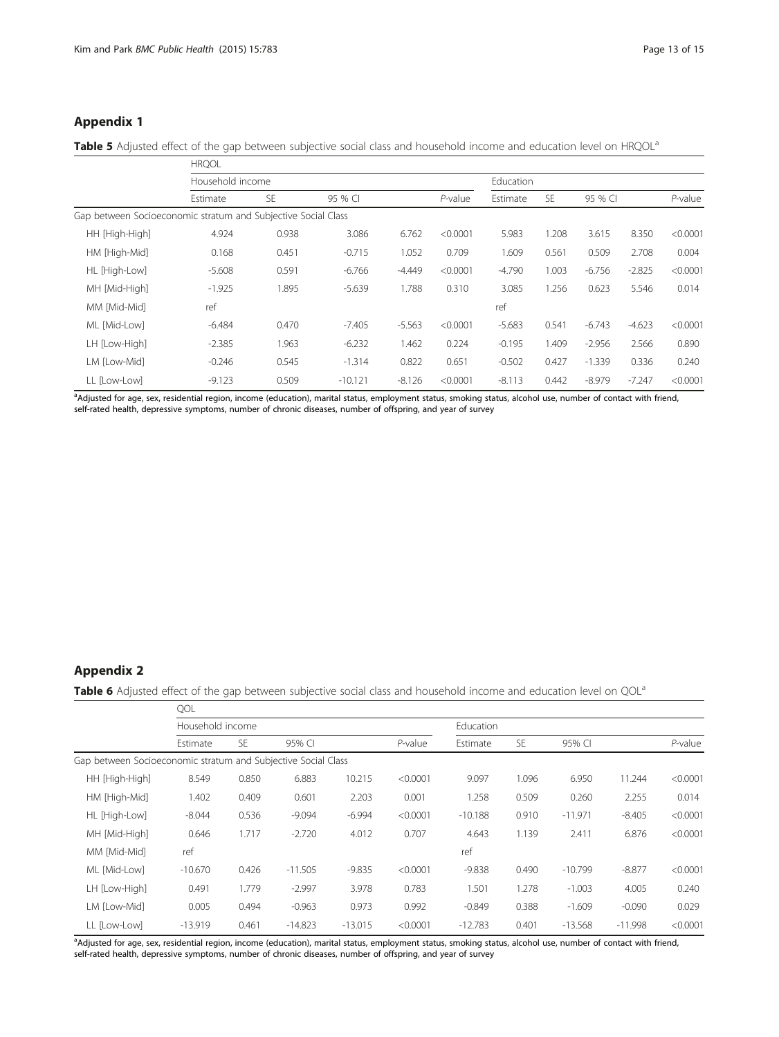# <span id="page-12-0"></span>Appendix 1

Table 5 Adjusted effect of the gap between subjective social class and household income and education level on HRQOL<sup>a</sup>

|                                                               | <b>HRQOL</b>     |           |           |          |            |           |           |          |          |            |
|---------------------------------------------------------------|------------------|-----------|-----------|----------|------------|-----------|-----------|----------|----------|------------|
|                                                               | Household income |           |           |          |            | Education |           |          |          |            |
|                                                               | Estimate         | <b>SE</b> | 95 % CI   |          | $P$ -value | Estimate  | <b>SE</b> | 95 % CI  |          | $P$ -value |
| Gap between Socioeconomic stratum and Subjective Social Class |                  |           |           |          |            |           |           |          |          |            |
| HH [High-High]                                                | 4.924            | 0.938     | 3.086     | 6.762    | < 0.0001   | 5.983     | 1.208     | 3.615    | 8.350    | < 0.0001   |
| HM [High-Mid]                                                 | 0.168            | 0.451     | $-0.715$  | 1.052    | 0.709      | 1.609     | 0.561     | 0.509    | 2.708    | 0.004      |
| HL [High-Low]                                                 | $-5.608$         | 0.591     | $-6.766$  | $-4.449$ | < 0.0001   | $-4.790$  | 1.003     | $-6.756$ | $-2.825$ | < 0.0001   |
| MH [Mid-High]                                                 | $-1.925$         | 1.895     | $-5.639$  | 1.788    | 0.310      | 3.085     | 1.256     | 0.623    | 5.546    | 0.014      |
| MM [Mid-Mid]                                                  | ref              |           |           |          |            | ref       |           |          |          |            |
| ML [Mid-Low]                                                  | $-6.484$         | 0.470     | $-7.405$  | $-5.563$ | < 0.0001   | $-5.683$  | 0.541     | $-6.743$ | $-4.623$ | < 0.0001   |
| LH [Low-High]                                                 | $-2.385$         | 1.963     | $-6.232$  | 1.462    | 0.224      | $-0.195$  | 1.409     | $-2.956$ | 2.566    | 0.890      |
| LM [Low-Mid]                                                  | $-0.246$         | 0.545     | $-1.314$  | 0.822    | 0.651      | $-0.502$  | 0.427     | $-1.339$ | 0.336    | 0.240      |
| LL [Low-Low]                                                  | $-9.123$         | 0.509     | $-10.121$ | $-8.126$ | < 0.0001   | $-8.113$  | 0.442     | $-8.979$ | $-7.247$ | < 0.0001   |

a<br>Adjusted for age, sex, residential region, income (education), marital status, employment status, smoking status, alcohol use, number of contact with friend, self-rated health, depressive symptoms, number of chronic diseases, number of offspring, and year of survey

# Appendix 2

Table 6 Adjusted effect of the gap between subjective social class and household income and education level on QOL<sup>a</sup>

|                                                               | QOL              |           |           |           |            |                  |           |           |           |            |
|---------------------------------------------------------------|------------------|-----------|-----------|-----------|------------|------------------|-----------|-----------|-----------|------------|
|                                                               | Household income |           |           |           |            | <b>Education</b> |           |           |           |            |
|                                                               | Estimate         | <b>SE</b> | 95% CI    |           | $P$ -value | Estimate         | <b>SE</b> | 95% CI    |           | $P$ -value |
| Gap between Socioeconomic stratum and Subjective Social Class |                  |           |           |           |            |                  |           |           |           |            |
| HH [High-High]                                                | 8.549            | 0.850     | 6.883     | 10.215    | < 0.0001   | 9.097            | 1.096     | 6.950     | 11.244    | < 0.0001   |
| HM [High-Mid]                                                 | 1.402            | 0.409     | 0.601     | 2.203     | 0.001      | 1.258            | 0.509     | 0.260     | 2.255     | 0.014      |
| HL [High-Low]                                                 | $-8.044$         | 0.536     | $-9.094$  | $-6.994$  | < 0.0001   | $-10.188$        | 0.910     | $-11.971$ | $-8.405$  | < 0.0001   |
| MH [Mid-High]                                                 | 0.646            | 1.717     | $-2.720$  | 4.012     | 0.707      | 4.643            | 1.139     | 2.411     | 6.876     | < 0.0001   |
| MM [Mid-Mid]                                                  | ref              |           |           |           |            | ref              |           |           |           |            |
| ML [Mid-Low]                                                  | $-10.670$        | 0.426     | $-11.505$ | $-9.835$  | < 0.0001   | $-9.838$         | 0.490     | $-10.799$ | $-8.877$  | < 0.0001   |
| LH [Low-High]                                                 | 0.491            | 1.779     | $-2.997$  | 3.978     | 0.783      | 1.501            | 1.278     | $-1.003$  | 4.005     | 0.240      |
| LM [Low-Mid]                                                  | 0.005            | 0.494     | $-0.963$  | 0.973     | 0.992      | $-0.849$         | 0.388     | $-1.609$  | $-0.090$  | 0.029      |
| LL [Low-Low]                                                  | $-13.919$        | 0.461     | $-14.823$ | $-13.015$ | < 0.0001   | $-12.783$        | 0.401     | $-13.568$ | $-11.998$ | < 0.0001   |

a<br>Adjusted for age, sex, residential region, income (education), marital status, employment status, smoking status, alcohol use, number of contact with friend, self-rated health, depressive symptoms, number of chronic diseases, number of offspring, and year of survey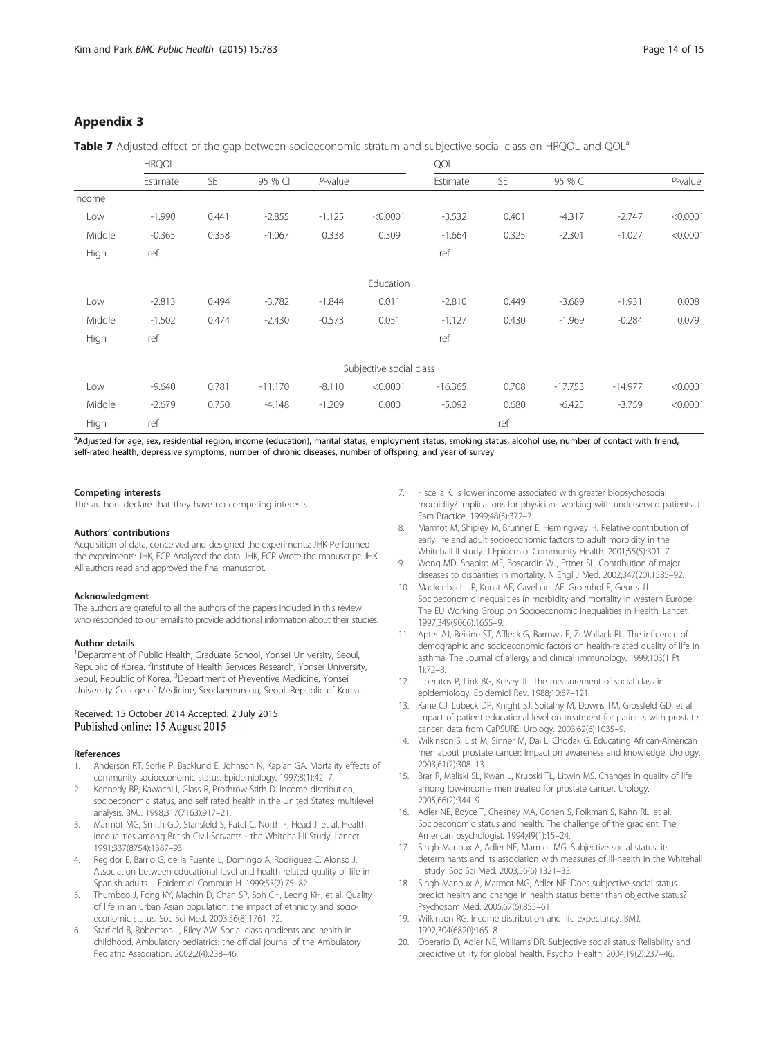# <span id="page-13-0"></span>Appendix 3

Table 7 Adjusted effect of the gap between socioeconomic stratum and subjective social class on HRQOL and QOL<sup>a</sup>

|        | <b>HRQOL</b> |           |           |            |                         | QOL       |           |           |           |            |
|--------|--------------|-----------|-----------|------------|-------------------------|-----------|-----------|-----------|-----------|------------|
|        | Estimate     | <b>SE</b> | 95 % CI   | $P$ -value |                         | Estimate  | <b>SE</b> | 95 % CI   |           | $P$ -value |
| Income |              |           |           |            |                         |           |           |           |           |            |
| Low    | $-1.990$     | 0.441     | $-2.855$  | $-1.125$   | < 0.0001                | $-3.532$  | 0.401     | $-4.317$  | $-2.747$  | < 0.0001   |
| Middle | $-0.365$     | 0.358     | $-1.067$  | 0.338      | 0.309                   | $-1.664$  | 0.325     | $-2.301$  | $-1.027$  | < 0.0001   |
| High   | ref          |           |           |            |                         | ref       |           |           |           |            |
|        |              |           |           |            | Education               |           |           |           |           |            |
| Low    | $-2.813$     | 0.494     | $-3.782$  | $-1.844$   | 0.011                   | $-2.810$  | 0.449     | $-3.689$  | $-1.931$  | 0.008      |
| Middle | $-1.502$     | 0.474     | $-2.430$  | $-0.573$   | 0.051                   | $-1.127$  | 0.430     | $-1.969$  | $-0.284$  | 0.079      |
| High   | ref          |           |           |            |                         | ref       |           |           |           |            |
|        |              |           |           |            | Subjective social class |           |           |           |           |            |
| Low    | $-9.640$     | 0.781     | $-11.170$ | $-8.110$   | < 0.0001                | $-16.365$ | 0.708     | $-17.753$ | $-14.977$ | < 0.0001   |
| Middle | $-2.679$     | 0.750     | $-4.148$  | $-1.209$   | 0.000                   | $-5.092$  | 0.680     | $-6.425$  | $-3.759$  | < 0.0001   |
| High   | ref          |           |           |            |                         |           | ref       |           |           |            |

<sub>。</sub><br>Adjusted for age, sex, residential region, income (education), marital status, employment status, smoking status, alcohol use, number of contact with friend, self-rated health, depressive symptoms, number of chronic diseases, number of offspring, and year of survey

#### Competing interests

The authors declare that they have no competing interests.

#### Authors' contributions

Acquisition of data, conceived and designed the experiments: JHK Performed the experiments: JHK, ECP Analyzed the data: JHK, ECP Wrote the manuscript: JHK. All authors read and approved the final manuscript.

#### Acknowledgment

The authors are grateful to all the authors of the papers included in this review who responded to our emails to provide additional information about their studies.

#### Author details

<sup>1</sup>Department of Public Health, Graduate School, Yonsei University, Seoul, Republic of Korea. <sup>2</sup>Institute of Health Services Research, Yonsei University, Seoul, Republic of Korea. <sup>3</sup>Department of Preventive Medicine, Yonsei University College of Medicine, Seodaemun-gu, Seoul, Republic of Korea.

#### Received: 15 October 2014 Accepted: 2 July 2015 Published online: 15 August 2015

#### References

- Anderson RT, Sorlie P, Backlund E, Johnson N, Kaplan GA. Mortality effects of community socioeconomic status. Epidemiology. 1997;8(1):42–7.
- 2. Kennedy BP, Kawachi I, Glass R, Prothrow-Stith D. Income distribution, socioeconomic status, and self rated health in the United States: multilevel analysis. BMJ. 1998;317(7163):917–21.
- 3. Marmot MG, Smith GD, Stansfeld S, Patel C, North F, Head J, et al. Health Inequalities among British Civil-Servants - the Whitehall-Ii Study. Lancet. 1991;337(8754):1387–93.
- 4. Regidor E, Barrio G, de la Fuente L, Domingo A, Rodriguez C, Alonso J. Association between educational level and health related quality of life in Spanish adults. J Epidemiol Commun H. 1999;53(2):75–82.
- Thumboo J, Fong KY, Machin D, Chan SP, Soh CH, Leong KH, et al. Quality of life in an urban Asian population: the impact of ethnicity and socioeconomic status. Soc Sci Med. 2003;56(8):1761–72.
- 6. Starfield B, Robertson J, Riley AW. Social class gradients and health in childhood. Ambulatory pediatrics: the official journal of the Ambulatory Pediatric Association. 2002;2(4):238–46.
- 7. Fiscella K. Is lower income associated with greater biopsychosocial morbidity? Implications for physicians working with underserved patients. J Fam Practice. 1999;48(5):372–7.
- 8. Marmot M, Shipley M, Brunner E, Hemingway H. Relative contribution of early life and adult socioeconomic factors to adult morbidity in the Whitehall II study. J Epidemiol Community Health. 2001;55(5):301–7.
- 9. Wong MD, Shapiro MF, Boscardin WJ, Ettner SL. Contribution of major diseases to disparities in mortality. N Engl J Med. 2002;347(20):1585–92.
- 10. Mackenbach JP, Kunst AE, Cavelaars AE, Groenhof F, Geurts JJ. Socioeconomic inequalities in morbidity and mortality in western Europe. The EU Working Group on Socioeconomic Inequalities in Health. Lancet. 1997;349(9066):1655–9.
- 11. Apter AJ, Reisine ST, Affleck G, Barrows E, ZuWallack RL. The influence of demographic and socioeconomic factors on health-related quality of life in asthma. The Journal of allergy and clinical immunology. 1999;103(1 Pt 1):72–8.
- 12. Liberatos P, Link BG, Kelsey JL. The measurement of social class in epidemiology. Epidemiol Rev. 1988;10:87–121.
- 13. Kane CJ, Lubeck DP, Knight SJ, Spitalny M, Downs TM, Grossfeld GD, et al. Impact of patient educational level on treatment for patients with prostate cancer: data from CaPSURE. Urology. 2003;62(6):1035–9.
- 14. Wilkinson S, List M, Sinner M, Dai L, Chodak G. Educating African-American men about prostate cancer: Impact on awareness and knowledge. Urology. 2003;61(2):308–13.
- 15. Brar R, Maliski SL, Kwan L, Krupski TL, Litwin MS. Changes in quality of life among low-income men treated for prostate cancer. Urology. 2005;66(2):344–9.
- 16. Adler NE, Boyce T, Chesney MA, Cohen S, Folkman S, Kahn RL, et al. Socioeconomic status and health. The challenge of the gradient. The American psychologist. 1994;49(1):15–24.
- 17. Singh-Manoux A, Adler NE, Marmot MG. Subjective social status: its determinants and its association with measures of ill-health in the Whitehall II study. Soc Sci Med. 2003;56(6):1321–33.
- 18. Singh-Manoux A, Marmot MG, Adler NE. Does subjective social status predict health and change in health status better than objective status? Psychosom Med. 2005;67(6):855–61.
- 19. Wilkinson RG. Income distribution and life expectancy. BMJ. 1992;304(6820):165–8.
- 20. Operario D, Adler NE, Williams DR. Subjective social status: Reliability and predictive utility for global health. Psychol Health. 2004;19(2):237–46.